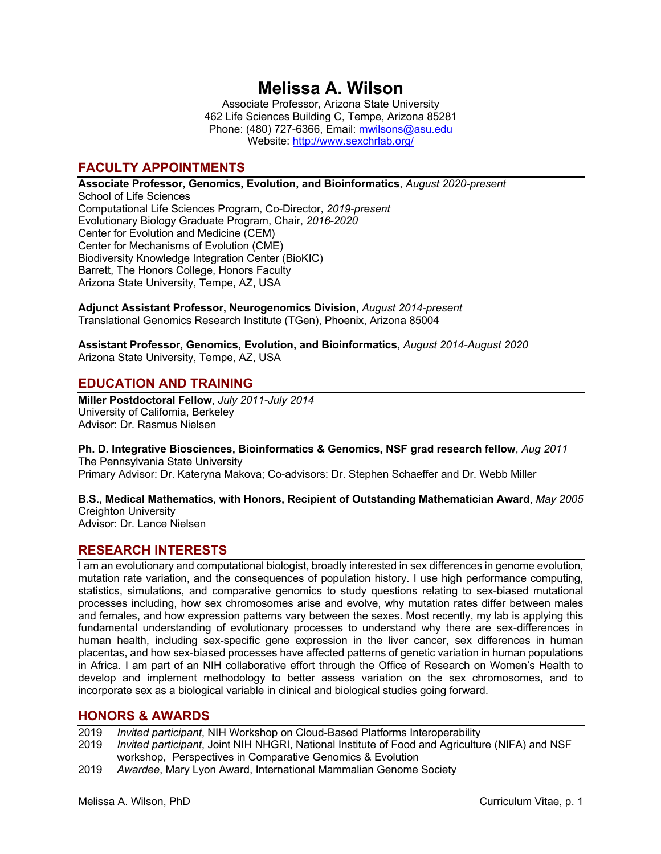# **Melissa A. Wilson**

Associate Professor, Arizona State University 462 Life Sciences Building C, Tempe, Arizona 85281 Phone: (480) 727-6366, Email: mwilsons@asu.edu Website: http://www.sexchrlab.org/

# **FACULTY APPOINTMENTS**

**Associate Professor, Genomics, Evolution, and Bioinformatics**, *August 2020-present*

School of Life Sciences Computational Life Sciences Program, Co-Director, *2019-present* Evolutionary Biology Graduate Program, Chair, *2016-2020* Center for Evolution and Medicine (CEM) Center for Mechanisms of Evolution (CME) Biodiversity Knowledge Integration Center (BioKIC) Barrett, The Honors College, Honors Faculty Arizona State University, Tempe, AZ, USA

**Adjunct Assistant Professor, Neurogenomics Division**, *August 2014-present* Translational Genomics Research Institute (TGen), Phoenix, Arizona 85004

**Assistant Professor, Genomics, Evolution, and Bioinformatics**, *August 2014-August 2020* Arizona State University, Tempe, AZ, USA

### **EDUCATION AND TRAINING**

**Miller Postdoctoral Fellow**, *July 2011-July 2014* University of California, Berkeley Advisor: Dr. Rasmus Nielsen

**Ph. D. Integrative Biosciences, Bioinformatics & Genomics, NSF grad research fellow**, *Aug 2011* The Pennsylvania State University Primary Advisor: Dr. Kateryna Makova; Co-advisors: Dr. Stephen Schaeffer and Dr. Webb Miller

**B.S., Medical Mathematics, with Honors, Recipient of Outstanding Mathematician Award**, *May 2005* Creighton University

Advisor: Dr. Lance Nielsen

# **RESEARCH INTERESTS**

I am an evolutionary and computational biologist, broadly interested in sex differences in genome evolution, mutation rate variation, and the consequences of population history. I use high performance computing, statistics, simulations, and comparative genomics to study questions relating to sex-biased mutational processes including, how sex chromosomes arise and evolve, why mutation rates differ between males and females, and how expression patterns vary between the sexes. Most recently, my lab is applying this fundamental understanding of evolutionary processes to understand why there are sex-differences in human health, including sex-specific gene expression in the liver cancer, sex differences in human placentas, and how sex-biased processes have affected patterns of genetic variation in human populations in Africa. I am part of an NIH collaborative effort through the Office of Research on Women's Health to develop and implement methodology to better assess variation on the sex chromosomes, and to incorporate sex as a biological variable in clinical and biological studies going forward.

# **HONORS & AWARDS**

2019 *Invited participant*, NIH Workshop on Cloud-Based Platforms Interoperability

- 2019 *Invited participant*, Joint NIH NHGRI, National Institute of Food and Agriculture (NIFA) and NSF workshop, Perspectives in Comparative Genomics & Evolution
- 2019 *Awardee*, Mary Lyon Award, International Mammalian Genome Society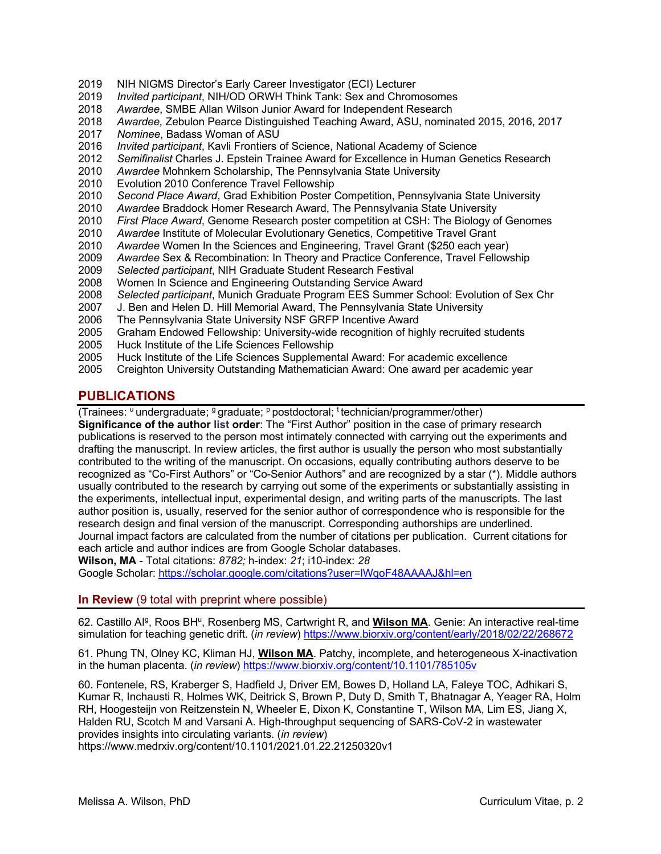- 2019 NIH NIGMS Director's Early Career Investigator (ECI) Lecturer
- 2019 *Invited participant*, NIH/OD ORWH Think Tank: Sex and Chromosomes
- 2018 *Awardee*, SMBE Allan Wilson Junior Award for Independent Research
- 2018 *Awardee,* Zebulon Pearce Distinguished Teaching Award, ASU, nominated 2015, 2016, 2017
- 2017 *Nominee*, Badass Woman of ASU
- 2016 *Invited participant*, Kavli Frontiers of Science, National Academy of Science
- 2012 *Semifinalist* Charles J. Epstein Trainee Award for Excellence in Human Genetics Research
- 2010 *Awardee* Mohnkern Scholarship, The Pennsylvania State University
- 2010 Evolution 2010 Conference Travel Fellowship
- 2010 *Second Place Award*, Grad Exhibition Poster Competition, Pennsylvania State University
- 2010 *Awardee* Braddock Homer Research Award, The Pennsylvania State University
- 2010 *First Place Award*, Genome Research poster competition at CSH: The Biology of Genomes
- 2010 *Awardee* Institute of Molecular Evolutionary Genetics, Competitive Travel Grant
- 2010 *Awardee* Women In the Sciences and Engineering, Travel Grant (\$250 each year)
- 2009 *Awardee* Sex & Recombination: In Theory and Practice Conference, Travel Fellowship
- 2009 *Selected participant*, NIH Graduate Student Research Festival
- 2008 Women In Science and Engineering Outstanding Service Award
- 2008 *Selected participant*, Munich Graduate Program EES Summer School: Evolution of Sex Chr
- 2007 J. Ben and Helen D. Hill Memorial Award, The Pennsylvania State University<br>2006 The Pennsylvania State University NSF GRFP Incentive Award
- The Pennsylvania State University NSF GRFP Incentive Award
- 2005 Graham Endowed Fellowship: University-wide recognition of highly recruited students
- 2005 Huck Institute of the Life Sciences Fellowship
- 2005 Huck Institute of the Life Sciences Supplemental Award: For academic excellence
- 2005 Creighton University Outstanding Mathematician Award: One award per academic year

# **PUBLICATIONS**

(Trainees:  $^{\mathrm{u}}$  undergraduate;  $^{\mathrm{g}}$  graduate;  $^{\mathrm{p}}$  postdoctoral; technician/programmer/other)

**Significance of the author list order**: The "First Author" position in the case of primary research publications is reserved to the person most intimately connected with carrying out the experiments and drafting the manuscript. In review articles, the first author is usually the person who most substantially contributed to the writing of the manuscript. On occasions, equally contributing authors deserve to be recognized as "Co-First Authors" or "Co-Senior Authors" and are recognized by a star (\*). Middle authors usually contributed to the research by carrying out some of the experiments or substantially assisting in the experiments, intellectual input, experimental design, and writing parts of the manuscripts. The last author position is, usually, reserved for the senior author of correspondence who is responsible for the research design and final version of the manuscript. Corresponding authorships are underlined. Journal impact factors are calculated from the number of citations per publication. Current citations for each article and author indices are from Google Scholar databases.

**Wilson, MA** - Total citations: *8782;* h-index: *21*; i10-index: *28*

Google Scholar: https://scholar.google.com/citations?user=lWqoF48AAAAJ&hl=en

**In Review** (9 total with preprint where possible)

62. Castillo AI<sup>g</sup>, Roos BH<sup>u</sup>, Rosenberg MS, Cartwright R, and **Wilson MA**. Genie: An interactive real-time simulation for teaching genetic drift. (*in review*) https://www.biorxiv.org/content/early/2018/02/22/268672

61. Phung TN, Olney KC, Kliman HJ, **Wilson MA**. Patchy, incomplete, and heterogeneous X-inactivation in the human placenta. (*in review*) https://www.biorxiv.org/content/10.1101/785105v

60. Fontenele, RS, Kraberger S, Hadfield J, Driver EM, Bowes D, Holland LA, Faleye TOC, Adhikari S, Kumar R, Inchausti R, Holmes WK, Deitrick S, Brown P, Duty D, Smith T, Bhatnagar A, Yeager RA, Holm RH, Hoogesteijn von Reitzenstein N, Wheeler E, Dixon K, Constantine T, Wilson MA, Lim ES, Jiang X, Halden RU, Scotch M and Varsani A. High-throughput sequencing of SARS-CoV-2 in wastewater provides insights into circulating variants. (*in review*)

https://www.medrxiv.org/content/10.1101/2021.01.22.21250320v1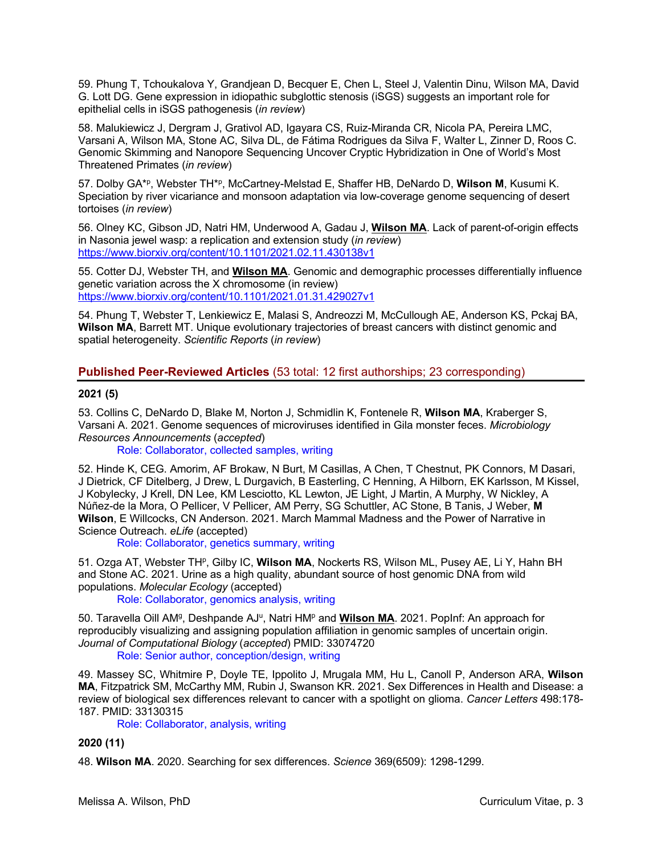59. Phung T, Tchoukalova Y, Grandjean D, Becquer E, Chen L, Steel J, Valentin Dinu, Wilson MA, David G. Lott DG. Gene expression in idiopathic subglottic stenosis (iSGS) suggests an important role for epithelial cells in iSGS pathogenesis (*in review*)

58. Malukiewicz J, Dergram J, Grativol AD, Igayara CS, Ruiz-Miranda CR, Nicola PA, Pereira LMC, Varsani A, Wilson MA, Stone AC, Silva DL, de Fátima Rodrigues da Silva F, Walter L, Zinner D, Roos C. Genomic Skimming and Nanopore Sequencing Uncover Cryptic Hybridization in One of World's Most Threatened Primates (*in review*)

57. Dolby GA\*p, Webster TH\*p, McCartney-Melstad E, Shaffer HB, DeNardo D, **Wilson M**, Kusumi K. Speciation by river vicariance and monsoon adaptation via low-coverage genome sequencing of desert tortoises (*in review*)

56. Olney KC, Gibson JD, Natri HM, Underwood A, Gadau J, **Wilson MA**. Lack of parent-of-origin effects in Nasonia jewel wasp: a replication and extension study (*in review*) https://www.biorxiv.org/content/10.1101/2021.02.11.430138v1

55. Cotter DJ, Webster TH, and **Wilson MA**. Genomic and demographic processes differentially influence genetic variation across the X chromosome (in review) https://www.biorxiv.org/content/10.1101/2021.01.31.429027v1

54. Phung T, Webster T, Lenkiewicz E, Malasi S, Andreozzi M, McCullough AE, Anderson KS, Pckaj BA, **Wilson MA**, Barrett MT. Unique evolutionary trajectories of breast cancers with distinct genomic and spatial heterogeneity. *Scientific Reports* (*in review*)

**Published Peer-Reviewed Articles** (53 total: 12 first authorships; 23 corresponding)

#### **2021 (5)**

53. Collins C, DeNardo D, Blake M, Norton J, Schmidlin K, Fontenele R, **Wilson MA**, Kraberger S, Varsani A. 2021. Genome sequences of microviruses identified in Gila monster feces. *Microbiology Resources Announcements* (*accepted*)

Role: Collaborator, collected samples, writing

52. Hinde K, CEG. Amorim, AF Brokaw, N Burt, M Casillas, A Chen, T Chestnut, PK Connors, M Dasari, J Dietrick, CF Ditelberg, J Drew, L Durgavich, B Easterling, C Henning, A Hilborn, EK Karlsson, M Kissel, J Kobylecky, J Krell, DN Lee, KM Lesciotto, KL Lewton, JE Light, J Martin, A Murphy, W Nickley, A Núñez-de la Mora, O Pellicer, V Pellicer, AM Perry, SG Schuttler, AC Stone, B Tanis, J Weber, **M Wilson**, E Willcocks, CN Anderson. 2021. March Mammal Madness and the Power of Narrative in Science Outreach. *eLife* (accepted)

Role: Collaborator, genetics summary, writing

51. Ozga AT, Webster TH<sup>P</sup>, Gilby IC, Wilson MA, Nockerts RS, Wilson ML, Pusey AE, Li Y, Hahn BH and Stone AC. 2021. Urine as a high quality, abundant source of host genomic DNA from wild populations. *Molecular Ecology* (accepted)

Role: Collaborator, genomics analysis, writing

50. Taravella Oill AM<sup>g</sup>, Deshpande AJ<sup>u</sup>, Natri HM<sup>p</sup> and **Wilson MA**. 2021. PopInf: An approach for reproducibly visualizing and assigning population affiliation in genomic samples of uncertain origin. *Journal of Computational Biology* (*accepted*) PMID: 33074720 Role: Senior author, conception/design, writing

49. Massey SC, Whitmire P, Doyle TE, Ippolito J, Mrugala MM, Hu L, Canoll P, Anderson ARA, **Wilson MA**, Fitzpatrick SM, McCarthy MM, Rubin J, Swanson KR. 2021. Sex Differences in Health and Disease: a review of biological sex differences relevant to cancer with a spotlight on glioma. *Cancer Letters* 498:178- 187. PMID: 33130315

Role: Collaborator, analysis, writing

**2020 (11)**

48. **Wilson MA**. 2020. Searching for sex differences. *Science* 369(6509): 1298-1299.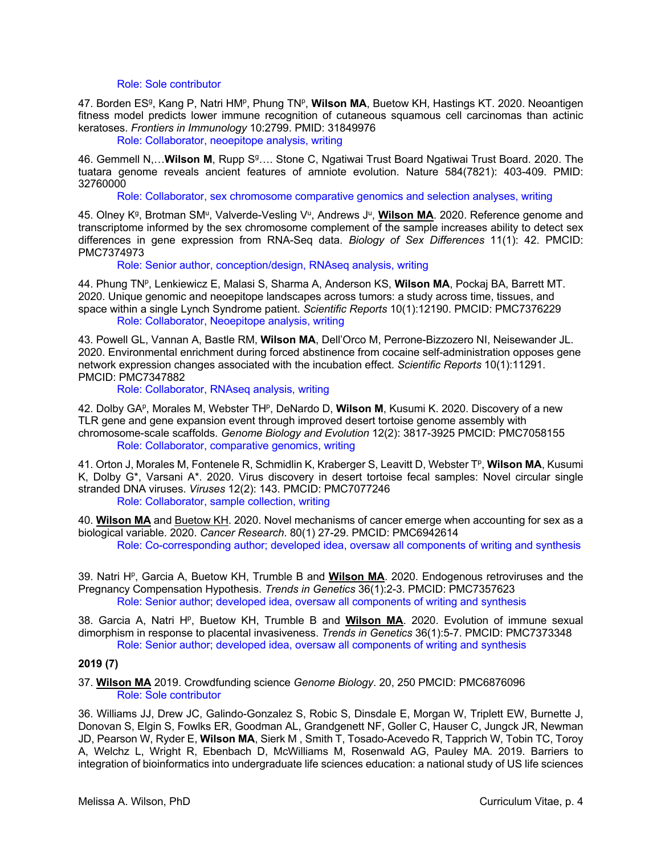Role: Sole contributor

47. Borden ES<sup>g</sup>, Kang P, Natri HM<sup>p</sup>, Phung TN<sup>p</sup>, Wilson MA, Buetow KH, Hastings KT. 2020. Neoantigen fitness model predicts lower immune recognition of cutaneous squamous cell carcinomas than actinic keratoses. *Frontiers in Immunology* 10:2799. PMID: 31849976

Role: Collaborator, neoepitope analysis, writing

46. Gemmell N,... Wilson M, Rupp S<sup>g</sup>.... Stone C, Ngatiwai Trust Board Ngatiwai Trust Board. 2020. The tuatara genome reveals ancient features of amniote evolution. Nature 584(7821): 403-409. PMID: 32760000

Role: Collaborator, sex chromosome comparative genomics and selection analyses, writing

45. Olney K<sup>g</sup>, Brotman SM<sup>u</sup>, Valverde-Vesling V<sup>u</sup>, Andrews J<sup>u</sup>, Wilson MA. 2020. Reference genome and transcriptome informed by the sex chromosome complement of the sample increases ability to detect sex differences in gene expression from RNA-Seq data. *Biology of Sex Differences* 11(1): 42. PMCID: PMC7374973

Role: Senior author, conception/design, RNAseq analysis, writing

44. Phung TNp, Lenkiewicz E, Malasi S, Sharma A, Anderson KS, **Wilson MA**, Pockaj BA, Barrett MT. 2020. Unique genomic and neoepitope landscapes across tumors: a study across time, tissues, and space within a single Lynch Syndrome patient. *Scientific Reports* 10(1):12190. PMCID: PMC7376229 Role: Collaborator, Neoepitope analysis, writing

43. Powell GL, Vannan A, Bastle RM, **Wilson MA**, Dell'Orco M, Perrone-Bizzozero NI, Neisewander JL. 2020. Environmental enrichment during forced abstinence from cocaine self-administration opposes gene network expression changes associated with the incubation effect. *Scientific Reports* 10(1):11291. PMCID: PMC7347882

Role: Collaborator, RNAseq analysis, writing

42. Dolby GAP, Morales M, Webster THP, DeNardo D, Wilson M, Kusumi K. 2020. Discovery of a new TLR gene and gene expansion event through improved desert tortoise genome assembly with chromosome-scale scaffolds. *Genome Biology and Evolution* 12(2): 3817-3925 PMCID: PMC7058155 Role: Collaborator, comparative genomics, writing

41. Orton J, Morales M, Fontenele R, Schmidlin K, Kraberger S, Leavitt D, Webster Tp, **Wilson MA**, Kusumi K, Dolby G\*, Varsani A\*. 2020. Virus discovery in desert tortoise fecal samples: Novel circular single stranded DNA viruses. *Viruses* 12(2): 143. PMCID: PMC7077246 Role: Collaborator, sample collection, writing

40. **Wilson MA** and Buetow KH. 2020. Novel mechanisms of cancer emerge when accounting for sex as a biological variable. 2020. *Cancer Research*. 80(1) 27-29. PMCID: PMC6942614 Role: Co-corresponding author; developed idea, oversaw all components of writing and synthesis

39. Natri Hp, Garcia A, Buetow KH, Trumble B and **Wilson MA**. 2020. Endogenous retroviruses and the Pregnancy Compensation Hypothesis. *Trends in Genetics* 36(1):2-3. PMCID: PMC7357623 Role: Senior author; developed idea, oversaw all components of writing and synthesis

38. Garcia A, Natri H<sup>p</sup>, Buetow KH, Trumble B and Wilson MA. 2020. Evolution of immune sexual dimorphism in response to placental invasiveness. *Trends in Genetics* 36(1):5-7. PMCID: PMC7373348 Role: Senior author; developed idea, oversaw all components of writing and synthesis

### **2019 (7)**

37. **Wilson MA** 2019. Crowdfunding science *Genome Biology*. 20, 250 PMCID: PMC6876096 Role: Sole contributor

36. Williams JJ, Drew JC, Galindo-Gonzalez S, Robic S, Dinsdale E, Morgan W, Triplett EW, Burnette J, Donovan S, Elgin S, Fowlks ER, Goodman AL, Grandgenett NF, Goller C, Hauser C, Jungck JR, Newman JD, Pearson W, Ryder E, **Wilson MA**, Sierk M , Smith T, Tosado-Acevedo R, Tapprich W, Tobin TC, Toroy A, Welchz L, Wright R, Ebenbach D, McWilliams M, Rosenwald AG, Pauley MA. 2019. Barriers to integration of bioinformatics into undergraduate life sciences education: a national study of US life sciences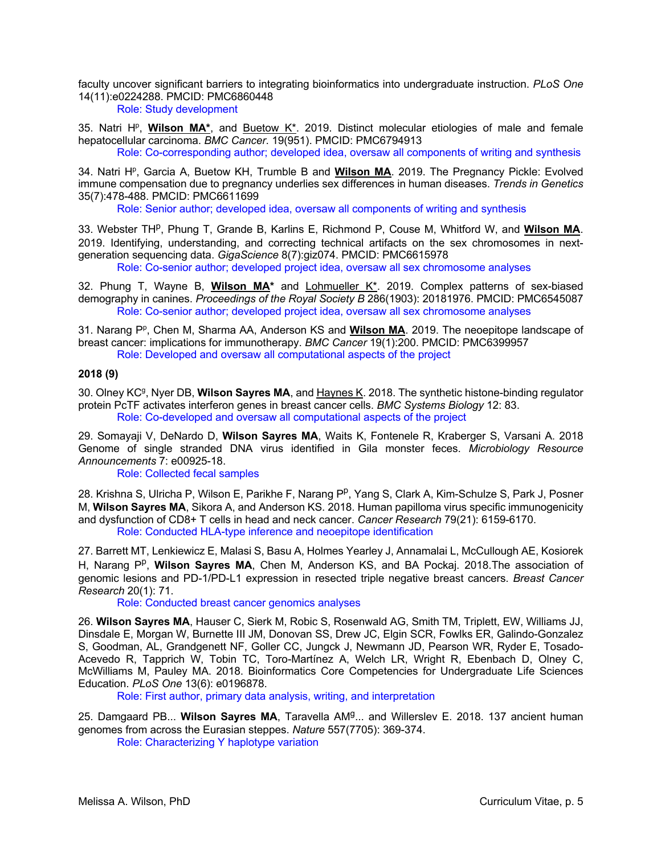faculty uncover significant barriers to integrating bioinformatics into undergraduate instruction. *PLoS One* 14(11):e0224288. PMCID: PMC6860448

Role: Study development

35. Natri H<sup>p</sup>, Wilson MA<sup>\*</sup>, and Buetow K<sup>\*</sup>. 2019. Distinct molecular etiologies of male and female hepatocellular carcinoma. *BMC Cancer*. 19(951). PMCID: PMC6794913

Role: Co-corresponding author; developed idea, oversaw all components of writing and synthesis

34. Natri H<sup>p</sup>, Garcia A, Buetow KH, Trumble B and **Wilson MA**. 2019. The Pregnancy Pickle: Evolved immune compensation due to pregnancy underlies sex differences in human diseases. *Trends in Genetics* 35(7):478-488. PMCID: PMC6611699

Role: Senior author; developed idea, oversaw all components of writing and synthesis

33. Webster TH<sup>p</sup>, Phung T, Grande B, Karlins E, Richmond P, Couse M, Whitford W, and **Wilson MA**. 2019. Identifying, understanding, and correcting technical artifacts on the sex chromosomes in nextgeneration sequencing data. *GigaScience* 8(7):giz074. PMCID: PMC6615978

Role: Co-senior author; developed project idea, oversaw all sex chromosome analyses

32. Phung T, Wayne B, **Wilson MA\*** and Lohmueller K\*. 2019. Complex patterns of sex-biased demography in canines. *Proceedings of the Royal Society B* 286(1903): 20181976. PMCID: PMC6545087 Role: Co-senior author; developed project idea, oversaw all sex chromosome analyses

31. Narang P<sup>p</sup>, Chen M, Sharma AA, Anderson KS and **Wilson MA**. 2019. The neoepitope landscape of breast cancer: implications for immunotherapy. *BMC Cancer* 19(1):200. PMCID: PMC6399957 Role: Developed and oversaw all computational aspects of the project

#### **2018 (9)**

30. Olney KCg, Nyer DB, **Wilson Sayres MA**, and Haynes K. 2018. The synthetic histone-binding regulator protein PcTF activates interferon genes in breast cancer cells. *BMC Systems Biology* 12: 83. Role: Co-developed and oversaw all computational aspects of the project

29. Somayaji V, DeNardo D, **Wilson Sayres MA**, Waits K, Fontenele R, Kraberger S, Varsani A. 2018 Genome of single stranded DNA virus identified in Gila monster feces. *Microbiology Resource Announcements* 7: e00925-18.

Role: Collected fecal samples

28. Krishna S, Ulricha P, Wilson E, Parikhe F, Narang P<sup>p</sup>, Yang S, Clark A, Kim-Schulze S, Park J, Posner M, **Wilson Sayres MA**, Sikora A, and Anderson KS. 2018. Human papilloma virus specific immunogenicity and dysfunction of CD8+ T cells in head and neck cancer. *Cancer Research* 79(21): 6159-6170. Role: Conducted HLA-type inference and neoepitope identification

27. Barrett MT, Lenkiewicz E, Malasi S, Basu A, Holmes Yearley J, Annamalai L, McCullough AE, Kosiorek H, Narang P<sup>p</sup>, Wilson Sayres MA, Chen M, Anderson KS, and BA Pockaj. 2018. The association of genomic lesions and PD-1/PD-L1 expression in resected triple negative breast cancers. *Breast Cancer Research* 20(1): 71.

Role: Conducted breast cancer genomics analyses

26. **Wilson Sayres MA**, Hauser C, Sierk M, Robic S, Rosenwald AG, Smith TM, Triplett, EW, Williams JJ, Dinsdale E, Morgan W, Burnette III JM, Donovan SS, Drew JC, Elgin SCR, Fowlks ER, Galindo-Gonzalez S, Goodman, AL, Grandgenett NF, Goller CC, Jungck J, Newmann JD, Pearson WR, Ryder E, Tosado-Acevedo R, Tapprich W, Tobin TC, Toro-Martínez A, Welch LR, Wright R, Ebenbach D, Olney C, McWilliams M, Pauley MA. 2018. Bioinformatics Core Competencies for Undergraduate Life Sciences Education. *PLoS One* 13(6): e0196878.

Role: First author, primary data analysis, writing, and interpretation

25. Damgaard PB... **Wilson Sayres MA**, Taravella AMg... and Willerslev E. 2018. 137 ancient human genomes from across the Eurasian steppes. *Nature* 557(7705): 369-374.

Role: Characterizing Y haplotype variation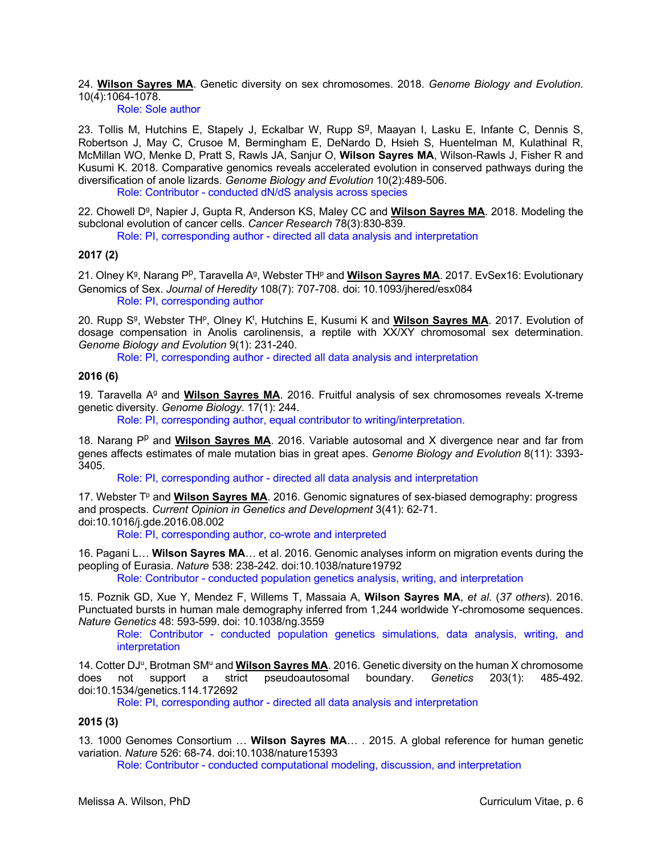24. **Wilson Sayres MA**. Genetic diversity on sex chromosomes. 2018. *Genome Biology and Evolution*. 10(4):1064-1078.

Role: Sole author

23. Tollis M, Hutchins E, Stapely J, Eckalbar W, Rupp  $S<sup>g</sup>$ , Maayan I, Lasku E, Infante C, Dennis S, Robertson J, May C, Crusoe M, Bermingham E, DeNardo D, Hsieh S, Huentelman M, Kulathinal R, McMillan WO, Menke D, Pratt S, Rawls JA, Sanjur O, **Wilson Sayres MA**, Wilson-Rawls J, Fisher R and Kusumi K. 2018. Comparative genomics reveals accelerated evolution in conserved pathways during the diversification of anole lizards. *Genome Biology and Evolution* 10(2):489-506.

Role: Contributor - conducted dN/dS analysis across species

22. Chowell D<sup>g</sup>, Napier J, Gupta R, Anderson KS, Maley CC and **Wilson Sayres MA**. 2018. Modeling the subclonal evolution of cancer cells. *Cancer Research* 78(3):830-839.

Role: PI, corresponding author - directed all data analysis and interpretation

#### **2017 (2)**

21. Olney K<sup>g</sup>, Narang P<sup>p</sup>, Taravella A<sup>g</sup>, Webster TH<sup>p</sup> and **Wilson Sayres MA**. 2017. EvSex16: Evolutionary Genomics of Sex. *Journal of Heredity* 108(7): 707-708. doi: 10.1093/jhered/esx084 Role: PI, corresponding author

20. Rupp S<sup>g</sup>, Webster TH<sup>p</sup>, Olney K<sup>t</sup>, Hutchins E, Kusumi K and **Wilson Sayres MA**. 2017. Evolution of dosage compensation in Anolis carolinensis, a reptile with XX/XY chromosomal sex determination. *Genome Biology and Evolution* 9(1): 231-240.

Role: PI, corresponding author - directed all data analysis and interpretation

#### **2016 (6)**

19. Taravella Ag and **Wilson Sayres MA**. 2016. Fruitful analysis of sex chromosomes reveals X-treme genetic diversity. *Genome Biology*. 17(1): 244.

Role: PI, corresponding author, equal contributor to writing/interpretation.

18. Narang P<sup>p</sup> and **Wilson Sayres MA**. 2016. Variable autosomal and X divergence near and far from genes affects estimates of male mutation bias in great apes. *Genome Biology and Evolution* 8(11): 3393- 3405.

Role: PI, corresponding author - directed all data analysis and interpretation

17. Webster T<sup>p</sup> and **Wilson Sayres MA**. 2016. Genomic signatures of sex-biased demography: progress and prospects. *Current Opinion in Genetics and Development* 3(41): 62-71. doi:10.1016/j.gde.2016.08.002

Role: PI, corresponding author, co-wrote and interpreted

16. Pagani L… **Wilson Sayres MA**… et al. 2016. Genomic analyses inform on migration events during the peopling of Eurasia. *Nature* 538: 238-242. doi:10.1038/nature19792

Role: Contributor - conducted population genetics analysis, writing, and interpretation

15. Poznik GD, Xue Y, Mendez F, Willems T, Massaia A, **Wilson Sayres MA**, *et al*. (*37 others*). 2016. Punctuated bursts in human male demography inferred from 1,244 worldwide Y-chromosome sequences. *Nature Genetics* 48: 593-599. doi: 10.1038/ng.3559

Role: Contributor - conducted population genetics simulations, data analysis, writing, and interpretation

14. Cotter DJ<sup>u</sup>, Brotman SM<sup>u</sup> and **Wilson Sayres MA**. 2016. Genetic diversity on the human X chromosome does not support a strict pseudoautosomal boundary. *Genetics* 203(1): 485-492. doi:10.1534/genetics.114.172692

Role: PI, corresponding author - directed all data analysis and interpretation

#### **2015 (3)**

13. 1000 Genomes Consortium … **Wilson Sayres MA**… . 2015. A global reference for human genetic variation. *Nature* 526: 68-74. doi:10.1038/nature15393

Role: Contributor - conducted computational modeling, discussion, and interpretation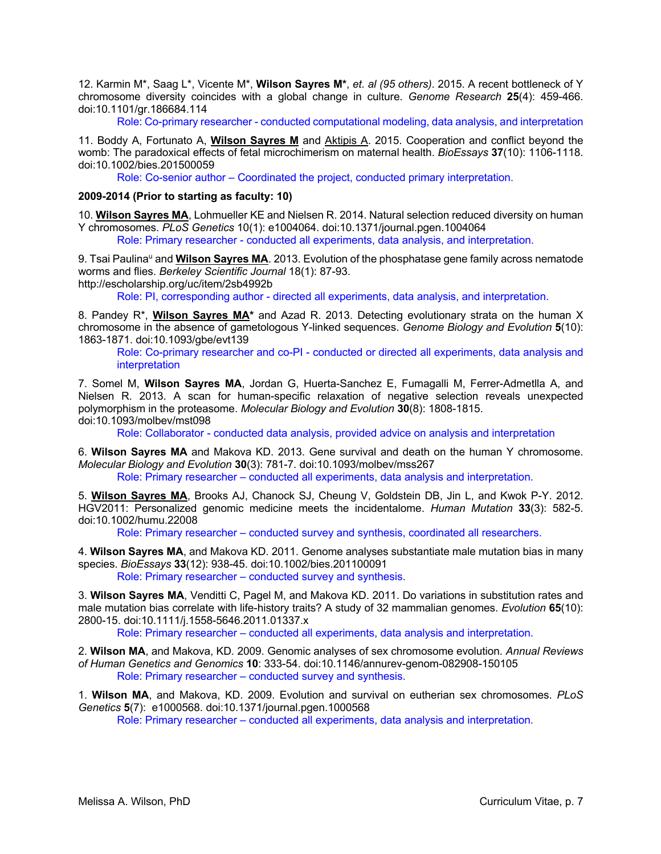12. Karmin M\*, Saag L\*, Vicente M\*, **Wilson Sayres M\***, *et. al (95 others)*. 2015. A recent bottleneck of Y chromosome diversity coincides with a global change in culture. *Genome Research* **25**(4): 459-466. doi:10.1101/gr.186684.114

Role: Co-primary researcher - conducted computational modeling, data analysis, and interpretation

11. Boddy A, Fortunato A, **Wilson Sayres M** and Aktipis A. 2015. Cooperation and conflict beyond the womb: The paradoxical effects of fetal microchimerism on maternal health. *BioEssays* **37**(10): 1106-1118. doi:10.1002/bies.201500059

Role: Co-senior author – Coordinated the project, conducted primary interpretation.

#### **2009-2014 (Prior to starting as faculty: 10)**

10. **Wilson Sayres MA**, Lohmueller KE and Nielsen R. 2014. Natural selection reduced diversity on human Y chromosomes. *PLoS Genetics* 10(1): e1004064. doi:10.1371/journal.pgen.1004064

Role: Primary researcher - conducted all experiments, data analysis, and interpretation.

9. Tsai Paulina<sup>u</sup> and **Wilson Sayres MA**. 2013. Evolution of the phosphatase gene family across nematode worms and flies. *Berkeley Scientific Journal* 18(1): 87-93.

http://escholarship.org/uc/item/2sb4992b

Role: PI, corresponding author - directed all experiments, data analysis, and interpretation.

8. Pandey R\*, **Wilson Sayres MA\*** and Azad R. 2013. Detecting evolutionary strata on the human X chromosome in the absence of gametologous Y-linked sequences. *Genome Biology and Evolution* **5**(10): 1863-1871. doi:10.1093/gbe/evt139

Role: Co-primary researcher and co-PI - conducted or directed all experiments, data analysis and interpretation

7. Somel M, **Wilson Sayres MA**, Jordan G, Huerta-Sanchez E, Fumagalli M, Ferrer-Admetlla A, and Nielsen R. 2013. A scan for human-specific relaxation of negative selection reveals unexpected polymorphism in the proteasome. *Molecular Biology and Evolution* **30**(8): 1808-1815. doi:10.1093/molbev/mst098

Role: Collaborator - conducted data analysis, provided advice on analysis and interpretation

6. **Wilson Sayres MA** and Makova KD. 2013. Gene survival and death on the human Y chromosome. *Molecular Biology and Evolution* **30**(3): 781-7. doi:10.1093/molbev/mss267

Role: Primary researcher – conducted all experiments, data analysis and interpretation.

5. **Wilson Sayres MA**, Brooks AJ, Chanock SJ, Cheung V, Goldstein DB, Jin L, and Kwok P-Y. 2012. HGV2011: Personalized genomic medicine meets the incidentalome. *Human Mutation* **33**(3): 582-5. doi:10.1002/humu.22008

Role: Primary researcher – conducted survey and synthesis, coordinated all researchers.

4. **Wilson Sayres MA**, and Makova KD. 2011. Genome analyses substantiate male mutation bias in many species. *BioEssays* **33**(12): 938-45. doi:10.1002/bies.201100091

Role: Primary researcher – conducted survey and synthesis.

3. **Wilson Sayres MA**, Venditti C, Pagel M, and Makova KD. 2011. Do variations in substitution rates and male mutation bias correlate with life-history traits? A study of 32 mammalian genomes. *Evolution* **65**(10): 2800-15. doi:10.1111/j.1558-5646.2011.01337.x

Role: Primary researcher – conducted all experiments, data analysis and interpretation.

2. **Wilson MA**, and Makova, KD. 2009. Genomic analyses of sex chromosome evolution*. Annual Reviews of Human Genetics and Genomics* **10**: 333-54. doi:10.1146/annurev-genom-082908-150105 Role: Primary researcher – conducted survey and synthesis.

1. **Wilson MA**, and Makova, KD. 2009. Evolution and survival on eutherian sex chromosomes. *PLoS Genetics* **5**(7): e1000568. doi:10.1371/journal.pgen.1000568

Role: Primary researcher – conducted all experiments, data analysis and interpretation.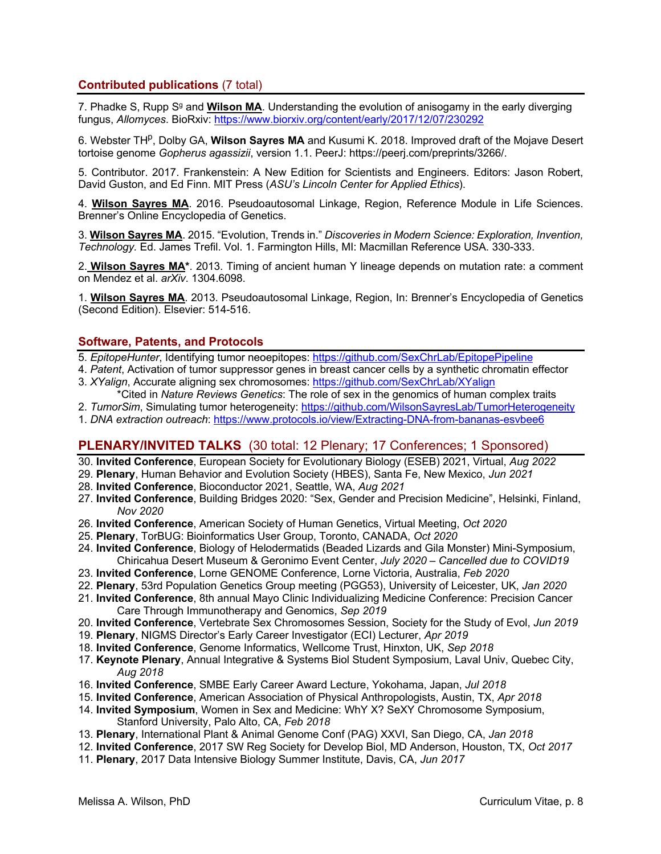### **Contributed publications** (7 total)

7. Phadke S, Rupp S<sup>g</sup> and **Wilson MA**. Understanding the evolution of anisogamy in the early diverging fungus, *Allomyces*. BioRxiv: https://www.biorxiv.org/content/early/2017/12/07/230292

6. Webster TH<sup>p</sup>, Dolby GA, **Wilson Sayres MA** and Kusumi K. 2018. Improved draft of the Mojave Desert tortoise genome *Gopherus agassizii*, version 1.1. PeerJ: https://peerj.com/preprints/3266/.

5. Contributor. 2017. Frankenstein: A New Edition for Scientists and Engineers. Editors: Jason Robert, David Guston, and Ed Finn. MIT Press (*ASU's Lincoln Center for Applied Ethics*).

4. **Wilson Sayres MA**. 2016. Pseudoautosomal Linkage, Region, Reference Module in Life Sciences. Brenner's Online Encyclopedia of Genetics.

3. **Wilson Sayres MA**. 2015. "Evolution, Trends in." *Discoveries in Modern Science: Exploration, Invention, Technology.* Ed. James Trefil. Vol. 1. Farmington Hills, MI: Macmillan Reference USA. 330-333.

2. **Wilson Sayres MA\***. 2013. Timing of ancient human Y lineage depends on mutation rate: a comment on Mendez et al. *arXiv*. 1304.6098.

1. **Wilson Sayres MA**. 2013. Pseudoautosomal Linkage, Region, In: Brenner's Encyclopedia of Genetics (Second Edition). Elsevier: 514-516.

### **Software, Patents, and Protocols**

- 5. *EpitopeHunter*, Identifying tumor neoepitopes: https://github.com/SexChrLab/EpitopePipeline
- 4. *Patent*, Activation of tumor suppressor genes in breast cancer cells by a synthetic chromatin effector 3. *XYalign*, Accurate aligning sex chromosomes: https://github.com/SexChrLab/XYalign
- \*Cited in *Nature Reviews Genetics*: The role of sex in the genomics of human complex traits
- 2. *TumorSim*, Simulating tumor heterogeneity: https://github.com/WilsonSayresLab/TumorHeterogeneity
- 1. *DNA extraction outreach*: https://www.protocols.io/view/Extracting-DNA-from-bananas-esvbee6

# **PLENARY/INVITED TALKS** (30 total: 12 Plenary; 17 Conferences; 1 Sponsored)

30. **Invited Conference**, European Society for Evolutionary Biology (ESEB) 2021, Virtual, *Aug 2022*

- 29. **Plenary**, Human Behavior and Evolution Society (HBES), Santa Fe, New Mexico, *Jun 2021*
- 28. **Invited Conference**, Bioconductor 2021, Seattle, WA, *Aug 2021*
- 27. **Invited Conference**, Building Bridges 2020: "Sex, Gender and Precision Medicine", Helsinki, Finland, *Nov 2020*
- 26. **Invited Conference**, American Society of Human Genetics, Virtual Meeting, *Oct 2020*
- 25. **Plenary**, TorBUG: Bioinformatics User Group, Toronto, CANADA, *Oct 2020*
- 24. **Invited Conference**, Biology of Helodermatids (Beaded Lizards and Gila Monster) Mini-Symposium, Chiricahua Desert Museum & Geronimo Event Center, *July 2020 – Cancelled due to COVID19*
- 23. **Invited Conference**, Lorne GENOME Conference, Lorne Victoria, Australia, *Feb 2020*
- 22. **Plenary**, 53rd Population Genetics Group meeting (PGG53), University of Leicester, UK, *Jan 2020*
- 21. **Invited Conference**, 8th annual Mayo Clinic Individualizing Medicine Conference: Precision Cancer Care Through Immunotherapy and Genomics, *Sep 2019*
- 20. **Invited Conference**, Vertebrate Sex Chromosomes Session, Society for the Study of Evol, *Jun 2019*
- 19. **Plenary**, NIGMS Director's Early Career Investigator (ECI) Lecturer, *Apr 2019*
- 18. **Invited Conference**, Genome Informatics, Wellcome Trust, Hinxton, UK, *Sep 2018*
- 17. **Keynote Plenary**, Annual Integrative & Systems Biol Student Symposium, Laval Univ, Quebec City, *Aug 2018*
- 16. **Invited Conference**, SMBE Early Career Award Lecture, Yokohama, Japan, *Jul 2018*
- 15. **Invited Conference**, American Association of Physical Anthropologists, Austin, TX, *Apr 2018*
- 14. **Invited Symposium**, Women in Sex and Medicine: WhY X? SeXY Chromosome Symposium, Stanford University, Palo Alto, CA, *Feb 2018*
- 13. **Plenary**, International Plant & Animal Genome Conf (PAG) XXVI, San Diego, CA, *Jan 2018*
- 12. **Invited Conference**, 2017 SW Reg Society for Develop Biol, MD Anderson, Houston, TX, *Oct 2017*
- 11. **Plenary**, 2017 Data Intensive Biology Summer Institute, Davis, CA, *Jun 2017*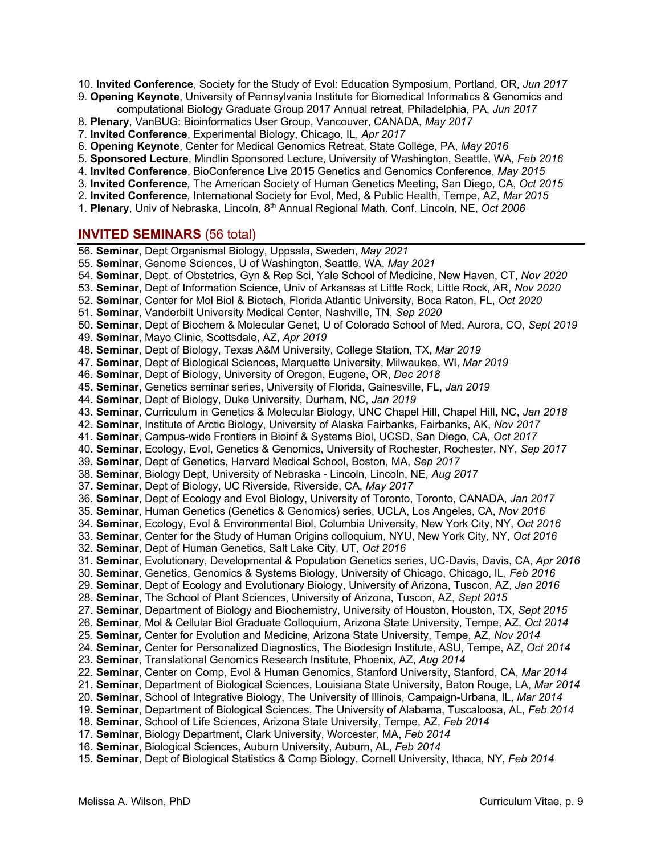- 10. **Invited Conference**, Society for the Study of Evol: Education Symposium, Portland, OR, *Jun 2017*
- 9. **Opening Keynote**, University of Pennsylvania Institute for Biomedical Informatics & Genomics and computational Biology Graduate Group 2017 Annual retreat, Philadelphia, PA, *Jun 2017*
- 8. **Plenary**, VanBUG: Bioinformatics User Group, Vancouver, CANADA, *May 2017*
- 7. **Invited Conference**, Experimental Biology, Chicago, IL, *Apr 2017*
- 6. **Opening Keynote**, Center for Medical Genomics Retreat, State College, PA, *May 2016*
- 5. **Sponsored Lecture**, Mindlin Sponsored Lecture, University of Washington, Seattle, WA, *Feb 2016*
- 4. **Invited Conference**, BioConference Live 2015 Genetics and Genomics Conference, *May 2015*
- 3*.* **Invited Conference***,* The American Society of Human Genetics Meeting, San Diego, CA, *Oct 2015*
- 2. **Invited Conference***,* International Society for Evol, Med, & Public Health, Tempe, AZ, *Mar 2015*
- 1. **Plenary**, Univ of Nebraska, Lincoln, 8th Annual Regional Math. Conf. Lincoln, NE, *Oct 2006*

### **INVITED SEMINARS** (56 total)

- 56. **Seminar**, Dept Organismal Biology, Uppsala, Sweden, *May 2021*
- 55. **Seminar**, Genome Sciences, U of Washington, Seattle, WA, *May 2021*
- 54. **Seminar**, Dept. of Obstetrics, Gyn & Rep Sci, Yale School of Medicine, New Haven, CT, *Nov 2020*
- 53. **Seminar**, Dept of Information Science, Univ of Arkansas at Little Rock, Little Rock, AR, *Nov 2020*
- 52. **Seminar**, Center for Mol Biol & Biotech, Florida Atlantic University, Boca Raton, FL, *Oct 2020*
- 51. **Seminar**, Vanderbilt University Medical Center, Nashville, TN, *Sep 2020*
- 50. **Seminar**, Dept of Biochem & Molecular Genet, U of Colorado School of Med, Aurora, CO, *Sept 2019*
- 49. **Seminar**, Mayo Clinic, Scottsdale, AZ, *Apr 2019*
- 48. **Seminar**, Dept of Biology, Texas A&M University, College Station, TX, *Mar 2019*
- 47. **Seminar**, Dept of Biological Sciences, Marquette University, Milwaukee, WI, *Mar 2019*
- 46. **Seminar**, Dept of Biology, University of Oregon, Eugene, OR, *Dec 2018*
- 45. **Seminar**, Genetics seminar series, University of Florida, Gainesville, FL, *Jan 2019*
- 44. **Seminar**, Dept of Biology, Duke University, Durham, NC, *Jan 2019*
- 43. **Seminar**, Curriculum in Genetics & Molecular Biology, UNC Chapel Hill, Chapel Hill, NC, *Jan 2018*
- 42. **Seminar**, Institute of Arctic Biology, University of Alaska Fairbanks, Fairbanks, AK, *Nov 2017*
- 41. **Seminar**, Campus-wide Frontiers in Bioinf & Systems Biol, UCSD, San Diego, CA, *Oct 2017*
- 40. **Seminar**, Ecology, Evol, Genetics & Genomics, University of Rochester, Rochester, NY, *Sep 2017*
- 39. **Seminar**, Dept of Genetics, Harvard Medical School, Boston, MA, *Sep 2017*
- 38. **Seminar**, Biology Dept, University of Nebraska Lincoln, Lincoln, NE, *Aug 2017*
- 37. **Seminar**, Dept of Biology, UC Riverside, Riverside, CA, *May 2017*
- 36. **Seminar**, Dept of Ecology and Evol Biology, University of Toronto, Toronto, CANADA, *Jan 2017*
- 35. **Seminar**, Human Genetics (Genetics & Genomics) series, UCLA, Los Angeles, CA, *Nov 2016*
- 34. **Seminar**, Ecology, Evol & Environmental Biol, Columbia University, New York City, NY, *Oct 2016*
- 33. **Seminar**, Center for the Study of Human Origins colloquium, NYU, New York City, NY, *Oct 2016*
- 32. **Seminar**, Dept of Human Genetics, Salt Lake City, UT, *Oct 2016*
- 31. **Seminar**, Evolutionary, Developmental & Population Genetics series, UC-Davis, Davis, CA, *Apr 2016*
- 30. **Seminar**, Genetics, Genomics & Systems Biology, University of Chicago, Chicago, IL, *Feb 2016*
- 29. **Seminar**, Dept of Ecology and Evolutionary Biology, University of Arizona, Tuscon, AZ, *Jan 2016*
- 28. **Seminar**, The School of Plant Sciences, University of Arizona, Tuscon, AZ, *Sept 2015*
- 27. **Seminar**, Department of Biology and Biochemistry, University of Houston, Houston, TX, *Sept 2015*
- 26*.* **Seminar***,* Mol & Cellular Biol Graduate Colloquium, Arizona State University, Tempe, AZ, *Oct 2014*
- 25*.* **Seminar***,* Center for Evolution and Medicine, Arizona State University, Tempe, AZ, *Nov 2014*
- 24*.* **Seminar***,* Center for Personalized Diagnostics, The Biodesign Institute, ASU, Tempe, AZ, *Oct 2014*
- 23. **Seminar**, Translational Genomics Research Institute, Phoenix, AZ, *Aug 2014*
- 22. **Seminar**, Center on Comp, Evol & Human Genomics, Stanford University, Stanford, CA, *Mar 2014*
- 21. **Seminar**, Department of Biological Sciences, Louisiana State University, Baton Rouge, LA, *Mar 2014*
- 20. **Seminar**, School of Integrative Biology, The University of Illinois, Campaign-Urbana, IL, *Mar 2014*
- 19. **Seminar**, Department of Biological Sciences, The University of Alabama, Tuscaloosa, AL, *Feb 2014*
- 18. **Seminar**, School of Life Sciences, Arizona State University, Tempe, AZ, *Feb 2014*
- 17. **Seminar**, Biology Department, Clark University, Worcester, MA, *Feb 2014*
- 16. **Seminar**, Biological Sciences, Auburn University, Auburn, AL, *Feb 2014*
- 15. **Seminar**, Dept of Biological Statistics & Comp Biology, Cornell University, Ithaca, NY, *Feb 2014*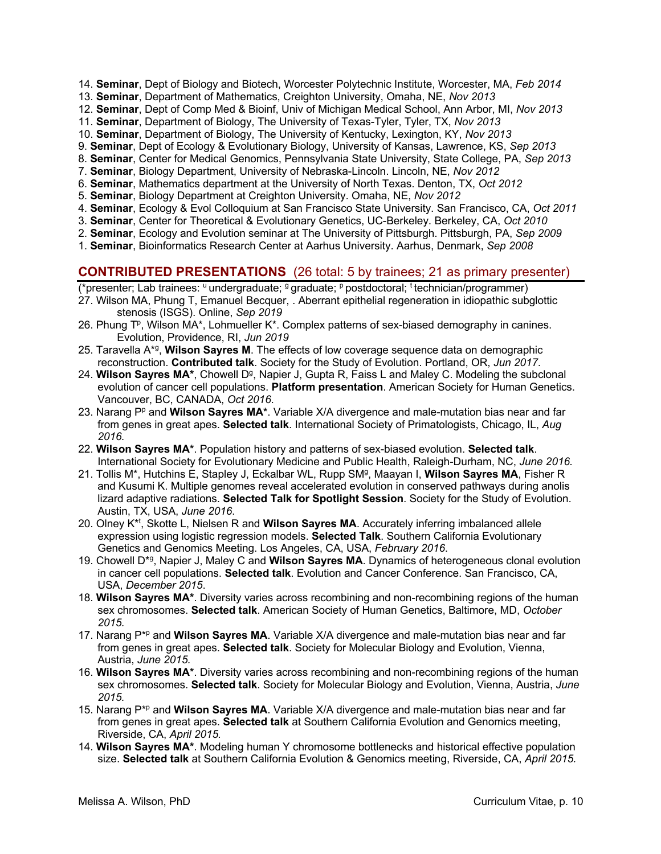- 14. **Seminar**, Dept of Biology and Biotech, Worcester Polytechnic Institute, Worcester, MA, *Feb 2014*
- 13. **Seminar**, Department of Mathematics, Creighton University, Omaha, NE, *Nov 2013*
- 12. **Seminar**, Dept of Comp Med & Bioinf, Univ of Michigan Medical School, Ann Arbor, MI, *Nov 2013*
- 11. **Seminar**, Department of Biology, The University of Texas-Tyler, Tyler, TX, *Nov 2013*
- 10. **Seminar**, Department of Biology, The University of Kentucky, Lexington, KY, *Nov 2013*
- 9. **Seminar**, Dept of Ecology & Evolutionary Biology, University of Kansas, Lawrence, KS, *Sep 2013*
- 8. **Seminar**, Center for Medical Genomics, Pennsylvania State University, State College, PA, *Sep 2013*
- 7. **Seminar**, Biology Department, University of Nebraska-Lincoln. Lincoln, NE, *Nov 2012*
- 6. **Seminar**, Mathematics department at the University of North Texas. Denton, TX, *Oct 2012*
- 5. **Seminar**, Biology Department at Creighton University. Omaha, NE, *Nov 2012*
- 4. **Seminar**, Ecology & Evol Colloquium at San Francisco State University. San Francisco, CA, *Oct 2011*
- 3. **Seminar**, Center for Theoretical & Evolutionary Genetics, UC-Berkeley. Berkeley, CA, *Oct 2010*
- 2. **Seminar**, Ecology and Evolution seminar at The University of Pittsburgh. Pittsburgh, PA, *Sep 2009*
- 1. **Seminar**, Bioinformatics Research Center at Aarhus University. Aarhus, Denmark, *Sep 2008*

### **CONTRIBUTED PRESENTATIONS** (26 total: 5 by trainees; 21 as primary presenter)

(\*presenter; Lab trainees: u undergraduate; <sup>g</sup> graduate; p postdoctoral; t technician/programmer)

- 27. Wilson MA, Phung T, Emanuel Becquer, . Aberrant epithelial regeneration in idiopathic subglottic stenosis (ISGS). Online, *Sep 2019*
- 26. Phung  $T<sup>p</sup>$ , Wilson MA\*, Lohmueller K\*. Complex patterns of sex-biased demography in canines. Evolution, Providence, RI, *Jun 2019*
- 25. Taravella A\*g, **Wilson Sayres M**. The effects of low coverage sequence data on demographic reconstruction. **Contributed talk**. Society for the Study of Evolution. Portland, OR, *Jun 2017*.
- 24. Wilson Sayres MA<sup>\*</sup>, Chowell D<sup>g</sup>, Napier J, Gupta R, Faiss L and Maley C. Modeling the subclonal evolution of cancer cell populations. **Platform presentation**. American Society for Human Genetics. Vancouver, BC, CANADA, *Oct 2016*.
- 23. Narang P<sup>p</sup> and **Wilson Sayres MA**\*. Variable X/A divergence and male-mutation bias near and far from genes in great apes. **Selected talk**. International Society of Primatologists, Chicago, IL, *Aug 2016.*
- 22. **Wilson Sayres MA\***. Population history and patterns of sex-biased evolution. **Selected talk**. International Society for Evolutionary Medicine and Public Health, Raleigh-Durham, NC, *June 2016.*
- 21. Tollis M\*, Hutchins E, Stapley J, Eckalbar WL, Rupp SMg, Maayan I, **Wilson Sayres MA**, Fisher R and Kusumi K. Multiple genomes reveal accelerated evolution in conserved pathways during anolis lizard adaptive radiations. **Selected Talk for Spotlight Session**. Society for the Study of Evolution. Austin, TX, USA, *June 2016*.
- 20. Olney K\*t , Skotte L, Nielsen R and **Wilson Sayres MA**. Accurately inferring imbalanced allele expression using logistic regression models. **Selected Talk**. Southern California Evolutionary Genetics and Genomics Meeting. Los Angeles, CA, USA, *February 2016*.
- 19. Chowell D\*g, Napier J, Maley C and **Wilson Sayres MA**. Dynamics of heterogeneous clonal evolution in cancer cell populations. **Selected talk**. Evolution and Cancer Conference. San Francisco, CA, USA, *December 2015*.
- 18. **Wilson Sayres MA\***. Diversity varies across recombining and non-recombining regions of the human sex chromosomes. **Selected talk**. American Society of Human Genetics, Baltimore, MD, *October 2015.*
- 17. Narang P\*p and **Wilson Sayres MA**. Variable X/A divergence and male-mutation bias near and far from genes in great apes. **Selected talk**. Society for Molecular Biology and Evolution, Vienna, Austria, *June 2015.*
- 16. **Wilson Sayres MA\***. Diversity varies across recombining and non-recombining regions of the human sex chromosomes. **Selected talk**. Society for Molecular Biology and Evolution, Vienna, Austria, *June 2015.*
- 15. Narang P\*p and **Wilson Sayres MA**. Variable X/A divergence and male-mutation bias near and far from genes in great apes. **Selected talk** at Southern California Evolution and Genomics meeting, Riverside, CA, *April 2015.*
- 14. **Wilson Sayres MA\***. Modeling human Y chromosome bottlenecks and historical effective population size. **Selected talk** at Southern California Evolution & Genomics meeting, Riverside, CA, *April 2015.*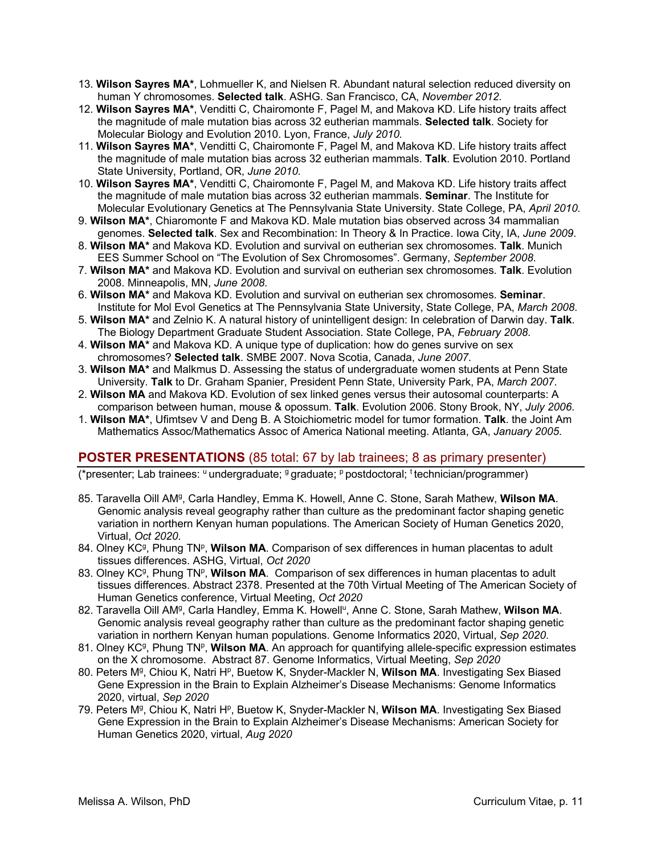- 13. **Wilson Sayres MA\***, Lohmueller K, and Nielsen R. Abundant natural selection reduced diversity on human Y chromosomes. **Selected talk**. ASHG. San Francisco, CA, *November 2012.*
- 12. **Wilson Sayres MA\***, Venditti C, Chairomonte F, Pagel M, and Makova KD. Life history traits affect the magnitude of male mutation bias across 32 eutherian mammals. **Selected talk**. Society for Molecular Biology and Evolution 2010. Lyon, France, *July 2010.*
- 11. **Wilson Sayres MA\***, Venditti C, Chairomonte F, Pagel M, and Makova KD. Life history traits affect the magnitude of male mutation bias across 32 eutherian mammals. **Talk**. Evolution 2010. Portland State University, Portland, OR, *June 2010.*
- 10. **Wilson Sayres MA\***, Venditti C, Chairomonte F, Pagel M, and Makova KD. Life history traits affect the magnitude of male mutation bias across 32 eutherian mammals. **Seminar**. The Institute for Molecular Evolutionary Genetics at The Pennsylvania State University. State College, PA, *April 2010.*
- 9. **Wilson MA\***, Chiaromonte F and Makova KD. Male mutation bias observed across 34 mammalian genomes. **Selected talk**. Sex and Recombination: In Theory & In Practice. Iowa City, IA, *June 2009*.
- 8. **Wilson MA\*** and Makova KD. Evolution and survival on eutherian sex chromosomes. **Talk**. Munich EES Summer School on "The Evolution of Sex Chromosomes". Germany, *September 2008*.
- 7. **Wilson MA\*** and Makova KD. Evolution and survival on eutherian sex chromosomes. **Talk**. Evolution 2008. Minneapolis, MN, *June 2008*.
- 6. **Wilson MA\*** and Makova KD. Evolution and survival on eutherian sex chromosomes. **Seminar**. Institute for Mol Evol Genetics at The Pennsylvania State University, State College, PA, *March 2008*.
- 5. **Wilson MA\*** and Zelnio K. A natural history of unintelligent design: In celebration of Darwin day. **Talk**. The Biology Department Graduate Student Association. State College, PA, *February 2008*.
- 4. **Wilson MA\*** and Makova KD. A unique type of duplication: how do genes survive on sex chromosomes? **Selected talk**. SMBE 2007. Nova Scotia, Canada, *June 2007*.
- 3. **Wilson MA\*** and Malkmus D. Assessing the status of undergraduate women students at Penn State University. **Talk** to Dr. Graham Spanier, President Penn State, University Park, PA, *March 2007*.
- 2. **Wilson MA** and Makova KD. Evolution of sex linked genes versus their autosomal counterparts: A comparison between human, mouse & opossum. **Talk**. Evolution 2006. Stony Brook, NY, *July 2006*.
- 1. **Wilson MA\***, Ufimtsev V and Deng B. A Stoichiometric model for tumor formation. **Talk**. the Joint Am Mathematics Assoc/Mathematics Assoc of America National meeting. Atlanta, GA, *January 2005*.

# **POSTER PRESENTATIONS** (85 total: 67 by lab trainees; 8 as primary presenter)

 $'$ resenter; Lab trainees: <sup>u</sup> undergraduate; <sup>g</sup> graduate; <sup>p</sup> postdoctoral; <sup>t</sup> technician/programmer)

- 85. Taravella Oill AMg, Carla Handley, Emma K. Howell, Anne C. Stone, Sarah Mathew, **Wilson MA**. Genomic analysis reveal geography rather than culture as the predominant factor shaping genetic variation in northern Kenyan human populations. The American Society of Human Genetics 2020, Virtual, *Oct 2020*.
- 84. Olney KC<sup>g</sup>, Phung TN<sup>p</sup>, **Wilson MA**. Comparison of sex differences in human placentas to adult tissues differences. ASHG, Virtual, *Oct 2020*
- 83. Olney KC<sup>g</sup>, Phung TN<sup>p</sup>, **Wilson MA**. Comparison of sex differences in human placentas to adult tissues differences. Abstract 2378. Presented at the 70th Virtual Meeting of The American Society of Human Genetics conference, Virtual Meeting, *Oct 2020*
- 82. Taravella Oill AM<sup>g</sup>, Carla Handley, Emma K. Howell<sup>u</sup>, Anne C. Stone, Sarah Mathew, Wilson MA. Genomic analysis reveal geography rather than culture as the predominant factor shaping genetic variation in northern Kenyan human populations. Genome Informatics 2020, Virtual, *Sep 2020*.
- 81. Olney KC<sup>g</sup>, Phung TN<sup>p</sup>, **Wilson MA**. An approach for quantifying allele-specific expression estimates on the X chromosome. Abstract 87. Genome Informatics, Virtual Meeting, *Sep 2020*
- 80. Peters M<sup>g</sup>, Chiou K, Natri H<sup>p</sup>, Buetow K, Snyder-Mackler N, Wilson MA. Investigating Sex Biased Gene Expression in the Brain to Explain Alzheimer's Disease Mechanisms: Genome Informatics 2020, virtual, *Sep 2020*
- 79. Peters M<sup>g</sup>, Chiou K, Natri H<sup>p</sup>, Buetow K, Snyder-Mackler N, Wilson MA. Investigating Sex Biased Gene Expression in the Brain to Explain Alzheimer's Disease Mechanisms: American Society for Human Genetics 2020, virtual, *Aug 2020*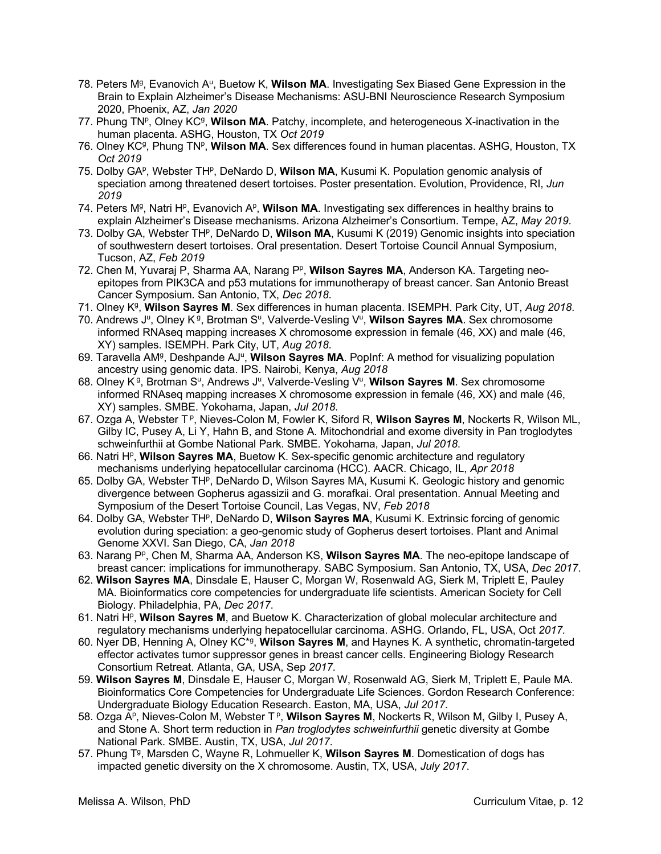- 78. Peters M<sup>g</sup>, Evanovich A<sup>u</sup>, Buetow K, Wilson MA. Investigating Sex Biased Gene Expression in the Brain to Explain Alzheimer's Disease Mechanisms: ASU-BNI Neuroscience Research Symposium 2020, Phoenix, AZ, *Jan 2020*
- 77. Phung TNP, Olney KC<sup>g</sup>, **Wilson MA**. Patchy, incomplete, and heterogeneous X-inactivation in the human placenta. ASHG, Houston, TX *Oct 2019*
- 76. Olney KC<sup>g</sup>, Phung TN<sup>p</sup>, **Wilson MA**. Sex differences found in human placentas. ASHG, Houston, TX *Oct 2019*
- 75. Dolby GA<sup>P</sup>, Webster TH<sup>P</sup>, DeNardo D, **Wilson MA**, Kusumi K. Population genomic analysis of speciation among threatened desert tortoises. Poster presentation. Evolution, Providence, RI, *Jun 2019*
- 74. Peters M<sup>g</sup>, Natri H<sup>p</sup>, Evanovich A<sup>p</sup>, **Wilson MA**. Investigating sex differences in healthy brains to explain Alzheimer's Disease mechanisms. Arizona Alzheimer's Consortium. Tempe, AZ, *May 2019*.
- 73. Dolby GA, Webster THp, DeNardo D, **Wilson MA**, Kusumi K (2019) Genomic insights into speciation of southwestern desert tortoises. Oral presentation. Desert Tortoise Council Annual Symposium, Tucson, AZ, *Feb 2019*
- 72. Chen M, Yuvaraj P, Sharma AA, Narang P<sup>p</sup>, **Wilson Sayres MA**, Anderson KA. Targeting neoepitopes from PIK3CA and p53 mutations for immunotherapy of breast cancer. San Antonio Breast Cancer Symposium. San Antonio, TX, *Dec 2018*.
- 71. Olney Kg, **Wilson Sayres M**. Sex differences in human placenta. ISEMPH. Park City, UT, *Aug 2018*.
- 70. Andrews J<sup>u</sup>, Olney K<sup>g</sup>, Brotman S<sup>u</sup>, Valverde-Vesling V<sup>u</sup>, Wilson Sayres MA. Sex chromosome informed RNAseq mapping increases X chromosome expression in female (46, XX) and male (46, XY) samples. ISEMPH. Park City, UT, *Aug 2018*.
- 69. Taravella AMg, Deshpande AJu, **Wilson Sayres MA**. PopInf: A method for visualizing population ancestry using genomic data. IPS. Nairobi, Kenya, *Aug 2018*
- 68. Olney K<sup>g</sup>, Brotman S<sup>u</sup>, Andrews J<sup>u</sup>, Valverde-Vesling V<sup>u</sup>, Wilson Sayres M. Sex chromosome informed RNAseq mapping increases X chromosome expression in female (46, XX) and male (46, XY) samples. SMBE. Yokohama, Japan, *Jul 2018*.
- 67. Ozga A, Webster T<sup>p</sup>, Nieves-Colon M, Fowler K, Siford R, Wilson Sayres M, Nockerts R, Wilson ML, Gilby IC, Pusey A, Li Y, Hahn B, and Stone A. Mitochondrial and exome diversity in Pan troglodytes schweinfurthii at Gombe National Park. SMBE. Yokohama, Japan, *Jul 2018*.
- 66. Natri H<sup>p</sup>, Wilson Sayres MA, Buetow K. Sex-specific genomic architecture and regulatory mechanisms underlying hepatocellular carcinoma (HCC). AACR. Chicago, IL, *Apr 2018*
- 65. Dolby GA, Webster TH<sup>P</sup>, DeNardo D, Wilson Sayres MA, Kusumi K. Geologic history and genomic divergence between Gopherus agassizii and G. morafkai. Oral presentation. Annual Meeting and Symposium of the Desert Tortoise Council, Las Vegas, NV, *Feb 2018*
- 64. Dolby GA, Webster TH<sup>P</sup>, DeNardo D, **Wilson Sayres MA**, Kusumi K. Extrinsic forcing of genomic evolution during speciation: a geo-genomic study of Gopherus desert tortoises. Plant and Animal Genome XXVI. San Diego, CA, *Jan 2018*
- 63. Narang P<sup>p</sup>, Chen M, Sharma AA, Anderson KS, Wilson Sayres MA. The neo-epitope landscape of breast cancer: implications for immunotherapy. SABC Symposium. San Antonio, TX, USA, *Dec 2017*.
- 62. **Wilson Sayres MA**, Dinsdale E, Hauser C, Morgan W, Rosenwald AG, Sierk M, Triplett E, Pauley MA. Bioinformatics core competencies for undergraduate life scientists. American Society for Cell Biology. Philadelphia, PA, *Dec 2017*.
- 61. Natri Hp, **Wilson Sayres M**, and Buetow K. Characterization of global molecular architecture and regulatory mechanisms underlying hepatocellular carcinoma. ASHG. Orlando, FL, USA, Oct *2017.*
- 60. Nyer DB, Henning A, Olney KC\*g, **Wilson Sayres M**, and Haynes K. A synthetic, chromatin-targeted effector activates tumor suppressor genes in breast cancer cells. Engineering Biology Research Consortium Retreat. Atlanta, GA, USA, Sep *2017.*
- 59. **Wilson Sayres M**, Dinsdale E, Hauser C, Morgan W, Rosenwald AG, Sierk M, Triplett E, Paule MA. Bioinformatics Core Competencies for Undergraduate Life Sciences. Gordon Research Conference: Undergraduate Biology Education Research. Easton, MA, USA, *Jul 2017*.
- 58. Ozga A<sup>p</sup>, Nieves-Colon M, Webster T<sup>p</sup>, **Wilson Sayres M**, Nockerts R, Wilson M, Gilby I, Pusey A, and Stone A. Short term reduction in *Pan troglodytes schweinfurthii* genetic diversity at Gombe National Park. SMBE. Austin, TX, USA, *Jul 2017*.
- 57. Phung Tg, Marsden C, Wayne R, Lohmueller K, **Wilson Sayres M**. Domestication of dogs has impacted genetic diversity on the X chromosome. Austin, TX, USA, *July 2017*.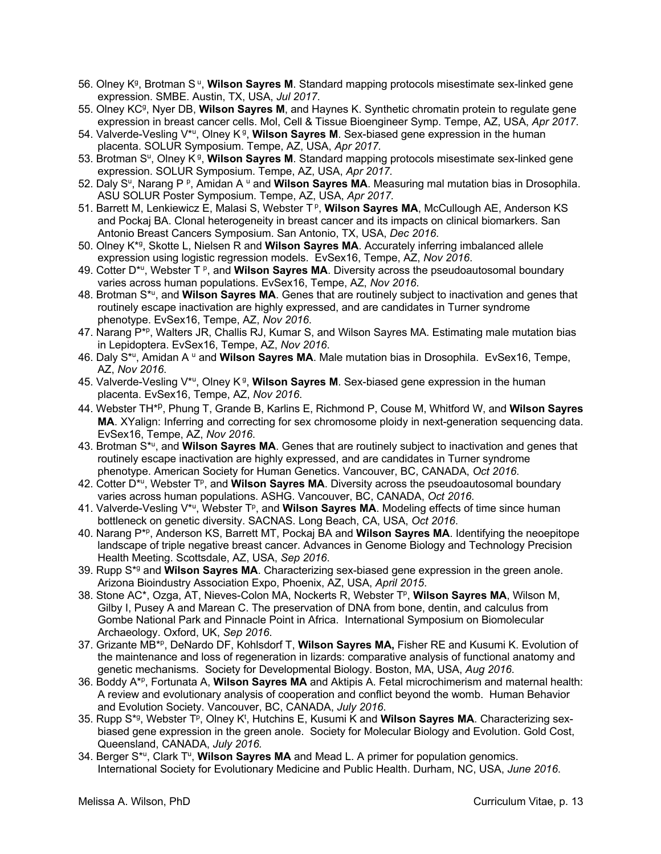- 56. Olney K<sup>g</sup>, Brotman S<sup>u</sup>, Wilson Sayres M. Standard mapping protocols misestimate sex-linked gene expression. SMBE. Austin, TX, USA, *Jul 2017*.
- 55. Olney KCg, Nyer DB, **Wilson Sayres M**, and Haynes K. Synthetic chromatin protein to regulate gene expression in breast cancer cells. Mol, Cell & Tissue Bioengineer Symp. Tempe, AZ, USA, *Apr 2017*.
- 54. Valverde-Vesling V\*u, Olney K g, **Wilson Sayres M**. Sex-biased gene expression in the human placenta. SOLUR Symposium. Tempe, AZ, USA, *Apr 2017.*
- 53. Brotman Su, Olney K g, **Wilson Sayres M**. Standard mapping protocols misestimate sex-linked gene expression. SOLUR Symposium. Tempe, AZ, USA, *Apr 2017.*
- 52. Daly S<sup>u</sup>, Narang P <sup>p</sup>, Amidan A <sup>u</sup> and **Wilson Sayres MA**. Measuring mal mutation bias in Drosophila. ASU SOLUR Poster Symposium. Tempe, AZ, USA, *Apr 2017.*
- 51. Barrett M, Lenkiewicz E, Malasi S, Webster T<sup>p</sup>, Wilson Sayres MA, McCullough AE, Anderson KS and Pockaj BA. Clonal heterogeneity in breast cancer and its impacts on clinical biomarkers. San Antonio Breast Cancers Symposium. San Antonio, TX, USA, *Dec 2016*.
- 50. Olney K\*g, Skotte L, Nielsen R and **Wilson Sayres MA**. Accurately inferring imbalanced allele expression using logistic regression models. EvSex16, Tempe, AZ, *Nov 2016*.
- 49. Cotter D\*u, Webster T p, and **Wilson Sayres MA**. Diversity across the pseudoautosomal boundary varies across human populations. EvSex16, Tempe, AZ, *Nov 2016*.
- 48. Brotman S\*u, and **Wilson Sayres MA**. Genes that are routinely subject to inactivation and genes that routinely escape inactivation are highly expressed, and are candidates in Turner syndrome phenotype. EvSex16, Tempe, AZ, *Nov 2016*.
- 47. Narang P\*p, Walters JR, Challis RJ, Kumar S, and Wilson Sayres MA. Estimating male mutation bias in Lepidoptera. EvSex16, Tempe, AZ, *Nov 2016*.
- 46. Daly S<sup>\*u</sup>, Amidan A <sup>u</sup> and **Wilson Sayres MA**. Male mutation bias in Drosophila. EvSex16, Tempe, AZ, *Nov 2016*.
- 45. Valverde-Vesling V<sup>\*u</sup>, Olney K<sup>g</sup>, Wilson Sayres M. Sex-biased gene expression in the human placenta. EvSex16, Tempe, AZ, *Nov 2016*.
- 44. Webster TH\*p, Phung T, Grande B, Karlins E, Richmond P, Couse M, Whitford W, and **Wilson Sayres MA**. XYalign: Inferring and correcting for sex chromosome ploidy in next-generation sequencing data. EvSex16, Tempe, AZ, *Nov 2016*.
- 43. Brotman S\*u, and **Wilson Sayres MA**. Genes that are routinely subject to inactivation and genes that routinely escape inactivation are highly expressed, and are candidates in Turner syndrome phenotype. American Society for Human Genetics. Vancouver, BC, CANADA, *Oct 2016*.
- 42. Cotter D<sup>\*u</sup>, Webster T<sup>p</sup>, and **Wilson Sayres MA**. Diversity across the pseudoautosomal boundary varies across human populations. ASHG. Vancouver, BC, CANADA, *Oct 2016*.
- 41. Valverde-Vesling V<sup>\*u</sup>, Webster T<sup>p</sup>, and **Wilson Sayres MA**. Modeling effects of time since human bottleneck on genetic diversity. SACNAS. Long Beach, CA, USA, *Oct 2016*.
- 40. Narang P\*p, Anderson KS, Barrett MT, Pockaj BA and **Wilson Sayres MA**. Identifying the neoepitope landscape of triple negative breast cancer. Advances in Genome Biology and Technology Precision Health Meeting. Scottsdale, AZ, USA, *Sep 2016*.
- 39. Rupp S\*g and **Wilson Sayres MA**. Characterizing sex-biased gene expression in the green anole. Arizona Bioindustry Association Expo, Phoenix, AZ, USA, *April 2015*.
- 38. Stone AC<sup>\*</sup>, Ozga, AT, Nieves-Colon MA, Nockerts R, Webster T<sup>p</sup>, **Wilson Sayres MA**, Wilson M, Gilby I, Pusey A and Marean C. The preservation of DNA from bone, dentin, and calculus from Gombe National Park and Pinnacle Point in Africa. International Symposium on Biomolecular Archaeology. Oxford, UK, *Sep 2016*.
- 37. Grizante MB\*p, DeNardo DF, Kohlsdorf T, **Wilson Sayres MA,** Fisher RE and Kusumi K. Evolution of the maintenance and loss of regeneration in lizards: comparative analysis of functional anatomy and genetic mechanisms. Society for Developmental Biology. Boston, MA, USA, *Aug 2016*.
- 36. Boddy A\*p, Fortunata A, **Wilson Sayres MA** and Aktipis A. Fetal microchimerism and maternal health: A review and evolutionary analysis of cooperation and conflict beyond the womb. Human Behavior and Evolution Society. Vancouver, BC, CANADA, *July 2016*.
- 35. Rupp S<sup>\*g</sup>, Webster T<sup>p</sup>, Olney K<sup>t</sup>, Hutchins E, Kusumi K and Wilson Sayres MA. Characterizing sexbiased gene expression in the green anole. Society for Molecular Biology and Evolution. Gold Cost, Queensland, CANADA, *July 2016.*
- 34. Berger S<sup>\*u</sup>, Clark T<sup>u</sup>, **Wilson Sayres MA** and Mead L. A primer for population genomics. International Society for Evolutionary Medicine and Public Health. Durham, NC, USA, *June 2016*.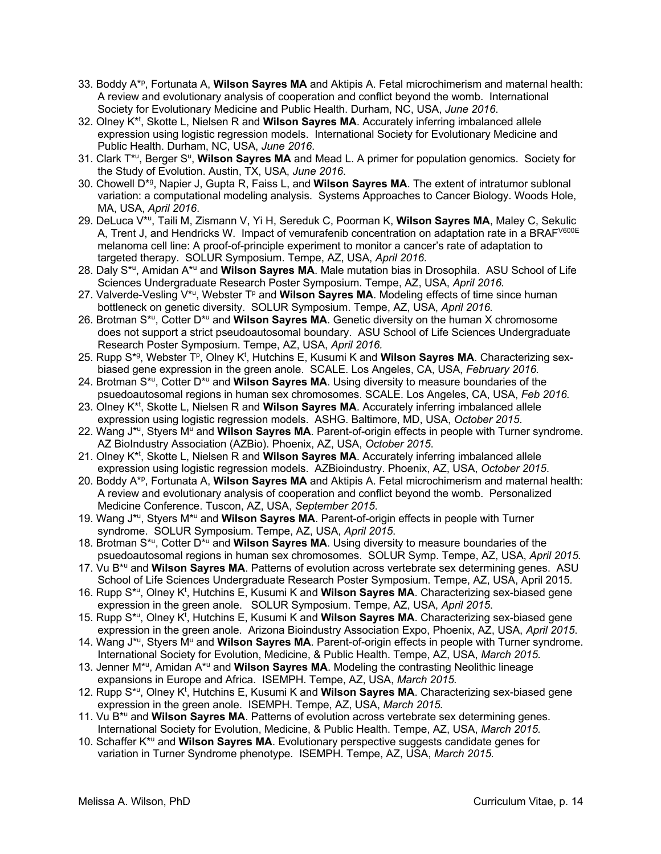- 33. Boddy A\*p, Fortunata A, **Wilson Sayres MA** and Aktipis A. Fetal microchimerism and maternal health: A review and evolutionary analysis of cooperation and conflict beyond the womb. International Society for Evolutionary Medicine and Public Health. Durham, NC, USA, *June 2016*.
- 32. Olney K\*t , Skotte L, Nielsen R and **Wilson Sayres MA**. Accurately inferring imbalanced allele expression using logistic regression models. International Society for Evolutionary Medicine and Public Health. Durham, NC, USA, *June 2016*.
- 31. Clark T<sup>\*u</sup>, Berger S<sup>u</sup>, Wilson Sayres MA and Mead L. A primer for population genomics. Society for the Study of Evolution. Austin, TX, USA, *June 2016*.
- 30. Chowell D\*g, Napier J, Gupta R, Faiss L, and **Wilson Sayres MA**. The extent of intratumor sublonal variation: a computational modeling analysis. Systems Approaches to Cancer Biology. Woods Hole, MA, USA, *April 2016*.
- 29. DeLuca V\*u, Taili M, Zismann V, Yi H, Sereduk C, Poorman K, **Wilson Sayres MA**, Maley C, Sekulic A, Trent J, and Hendricks W. Impact of vemurafenib concentration on adaptation rate in a BRAF<sup>V600E</sup> melanoma cell line: A proof-of-principle experiment to monitor a cancer's rate of adaptation to targeted therapy. SOLUR Symposium. Tempe, AZ, USA, *April 2016*.
- 28. Daly S\*u, Amidan A\*u and **Wilson Sayres MA**. Male mutation bias in Drosophila. ASU School of Life Sciences Undergraduate Research Poster Symposium. Tempe, AZ, USA, *April 2016.*
- 27. Valverde-Vesling V<sup>\*u</sup>, Webster T<sup>p</sup> and **Wilson Sayres MA**. Modeling effects of time since human bottleneck on genetic diversity. SOLUR Symposium. Tempe, AZ, USA, *April 2016.*
- 26. Brotman S\*u, Cotter D\*u and **Wilson Sayres MA**. Genetic diversity on the human X chromosome does not support a strict pseudoautosomal boundary. ASU School of Life Sciences Undergraduate Research Poster Symposium. Tempe, AZ, USA, *April 2016.*
- 25. Rupp S<sup>\*g</sup>, Webster T<sup>p</sup>, Olney K<sup>t</sup>, Hutchins E, Kusumi K and Wilson Sayres MA. Characterizing sexbiased gene expression in the green anole. SCALE. Los Angeles, CA, USA, *February 2016.*
- 24. Brotman S\*u, Cotter D\*u and **Wilson Sayres MA**. Using diversity to measure boundaries of the psuedoautosomal regions in human sex chromosomes. SCALE. Los Angeles, CA, USA, *Feb 2016.*
- 23. Olney K<sup>\*t</sup>, Skotte L, Nielsen R and Wilson Sayres MA. Accurately inferring imbalanced allele expression using logistic regression models. ASHG. Baltimore, MD, USA, *October 2015*.
- 22. Wang J<sup>\*u</sup>, Styers M<sup>u</sup> and **Wilson Sayres MA**. Parent-of-origin effects in people with Turner syndrome. AZ BioIndustry Association (AZBio). Phoenix, AZ, USA, *October 2015*.
- 21. Olney K<sup>\*t</sup>, Skotte L, Nielsen R and Wilson Sayres MA. Accurately inferring imbalanced allele expression using logistic regression models. AZBioindustry. Phoenix, AZ, USA, *October 2015*.
- 20. Boddy A\*p, Fortunata A, **Wilson Sayres MA** and Aktipis A. Fetal microchimerism and maternal health: A review and evolutionary analysis of cooperation and conflict beyond the womb. Personalized Medicine Conference. Tuscon, AZ, USA, *September 2015*.
- 19. Wang J\*u, Styers M\*u and **Wilson Sayres MA**. Parent-of-origin effects in people with Turner syndrome. SOLUR Symposium. Tempe, AZ, USA, *April 2015*.
- 18. Brotman S\*u, Cotter D\*u and **Wilson Sayres MA**. Using diversity to measure boundaries of the psuedoautosomal regions in human sex chromosomes. SOLUR Symp. Tempe, AZ, USA, *April 2015.*
- 17. Vu B\*u and **Wilson Sayres MA**. Patterns of evolution across vertebrate sex determining genes. ASU School of Life Sciences Undergraduate Research Poster Symposium. Tempe, AZ, USA, April 2015*.*
- 16. Rupp S<sup>\*u</sup>, Olney K<sup>t</sup>, Hutchins E, Kusumi K and Wilson Sayres MA. Characterizing sex-biased gene expression in the green anole. SOLUR Symposium. Tempe, AZ, USA, *April 2015*.
- 15. Rupp S<sup>\*u</sup>, Olney K<sup>t</sup>, Hutchins E, Kusumi K and **Wilson Sayres MA**. Characterizing sex-biased gene expression in the green anole. Arizona Bioindustry Association Expo, Phoenix, AZ, USA, *April 2015*.
- 14. Wang J<sup>\*u</sup>, Styers M<sup>u</sup> and **Wilson Sayres MA**. Parent-of-origin effects in people with Turner syndrome. International Society for Evolution, Medicine, & Public Health. Tempe, AZ, USA, *March 2015.*
- 13. Jenner M\*u, Amidan A\*u and **Wilson Sayres MA**. Modeling the contrasting Neolithic lineage expansions in Europe and Africa. ISEMPH. Tempe, AZ, USA, *March 2015.*
- 12. Rupp S<sup>\*u</sup>, Olney K<sup>t</sup>, Hutchins E, Kusumi K and Wilson Sayres MA. Characterizing sex-biased gene expression in the green anole. ISEMPH. Tempe, AZ, USA, *March 2015.*
- 11. Vu B\*u and **Wilson Sayres MA**. Patterns of evolution across vertebrate sex determining genes. International Society for Evolution, Medicine, & Public Health. Tempe, AZ, USA, *March 2015.*
- 10. Schaffer K\*u and **Wilson Sayres MA**. Evolutionary perspective suggests candidate genes for variation in Turner Syndrome phenotype. ISEMPH. Tempe, AZ, USA, *March 2015.*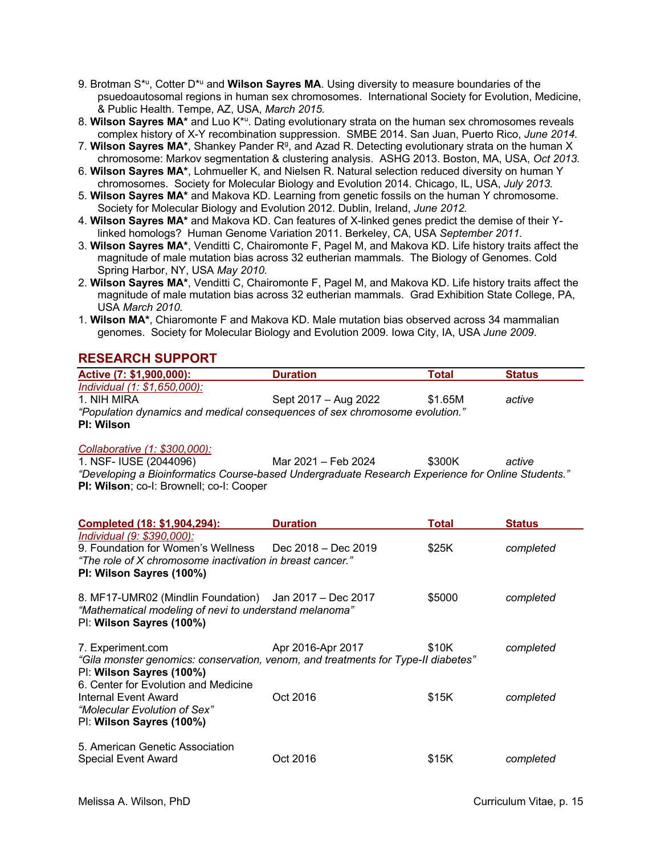- 9. Brotman S<sup>\*u</sup>, Cotter D<sup>\*u</sup> and **Wilson Sayres MA**. Using diversity to measure boundaries of the psuedoautosomal regions in human sex chromosomes. International Society for Evolution, Medicine, & Public Health. Tempe, AZ, USA, *March 2015.*
- 8. **Wilson Sayres MA\*** and Luo K\*u. Dating evolutionary strata on the human sex chromosomes reveals complex history of X-Y recombination suppression. SMBE 2014. San Juan, Puerto Rico, *June 2014.*
- 7. Wilson Sayres MA\*, Shankey Pander R<sup>g</sup>, and Azad R. Detecting evolutionary strata on the human X chromosome: Markov segmentation & clustering analysis. ASHG 2013. Boston, MA, USA, *Oct 2013.*
- 6. **Wilson Sayres MA\***, Lohmueller K, and Nielsen R. Natural selection reduced diversity on human Y chromosomes. Society for Molecular Biology and Evolution 2014. Chicago, IL, USA, *July 2013.*
- 5. **Wilson Sayres MA\*** and Makova KD. Learning from genetic fossils on the human Y chromosome. Society for Molecular Biology and Evolution 2012. Dublin, Ireland, *June 2012.*
- 4. **Wilson Sayres MA\*** and Makova KD. Can features of X-linked genes predict the demise of their Ylinked homologs? Human Genome Variation 2011. Berkeley, CA, USA *September 2011.*
- 3. **Wilson Sayres MA\***, Venditti C, Chairomonte F, Pagel M, and Makova KD. Life history traits affect the magnitude of male mutation bias across 32 eutherian mammals. The Biology of Genomes. Cold Spring Harbor, NY, USA *May 2010.*
- 2. **Wilson Sayres MA\***, Venditti C, Chairomonte F, Pagel M, and Makova KD. Life history traits affect the magnitude of male mutation bias across 32 eutherian mammals. Grad Exhibition State College, PA, USA *March 2010.*
- 1. **Wilson MA\***, Chiaromonte F and Makova KD. Male mutation bias observed across 34 mammalian genomes. Society for Molecular Biology and Evolution 2009. Iowa City, IA, USA *June 2009*.

# **RESEARCH SUPPORT**

| Active (7: \$1,900,000):                                                    | <b>Duration</b>      | Total   | <b>Status</b> |
|-----------------------------------------------------------------------------|----------------------|---------|---------------|
| Individual $(1: $1,650,000)$ :                                              |                      |         |               |
| 1. NIH MIRA                                                                 | Sept 2017 – Aug 2022 | \$1.65M | active        |
| "Population dynamics and medical consequences of sex chromosome evolution." |                      |         |               |
| PI: Wilson                                                                  |                      |         |               |

#### *Collaborative (1: \$300,000):*

| 1. NSF- IUSE (2044096)                           | Mar 2021 – Feb 2024                                                                               | \$300K | active |
|--------------------------------------------------|---------------------------------------------------------------------------------------------------|--------|--------|
|                                                  | "Developing a Bioinformatics Course-based Undergraduate Research Experience for Online Students." |        |        |
| <b>PI: Wilson</b> ; co-I: Brownell; co-I: Cooper |                                                                                                   |        |        |

| Completed (18: \$1,904,294):                                                                                                                                                  | <b>Duration</b>   | Total  | <b>Status</b> |
|-------------------------------------------------------------------------------------------------------------------------------------------------------------------------------|-------------------|--------|---------------|
| Individual (9: \$390,000):<br>9. Foundation for Women's Wellness Dec 2018 – Dec 2019<br>"The role of X chromosome inactivation in breast cancer."<br>PI: Wilson Sayres (100%) |                   | \$25K  | completed     |
| 8. MF17-UMR02 (Mindlin Foundation) Jan 2017 - Dec 2017<br>"Mathematical modeling of nevi to understand melanoma"<br>PI: Wilson Sayres (100%)                                  |                   | \$5000 | completed     |
| 7. Experiment.com<br>"Gila monster genomics: conservation, venom, and treatments for Type-II diabetes"<br>PI: Wilson Sayres (100%)<br>6. Center for Evolution and Medicine    | Apr 2016-Apr 2017 | \$10K  | completed     |
| <b>Internal Event Award</b><br>"Molecular Evolution of Sex"<br>PI: Wilson Sayres (100%)                                                                                       | Oct 2016          | \$15K  | completed     |
| 5. American Genetic Association<br><b>Special Event Award</b>                                                                                                                 | Oct 2016          | \$15K  | completed     |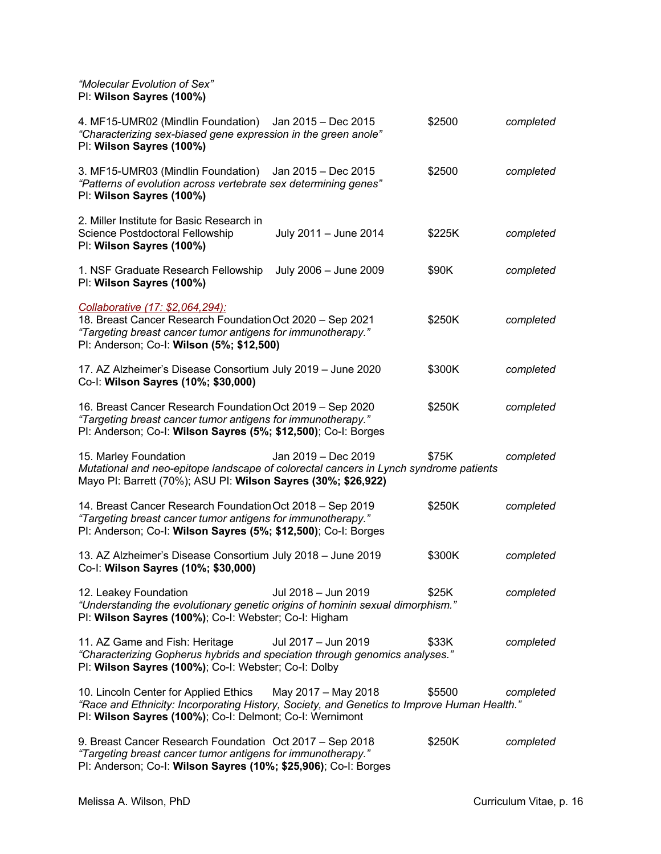*"Molecular Evolution of Sex"* PI: **Wilson Sayres (100%)**

| 4. MF15-UMR02 (Mindlin Foundation) Jan 2015 - Dec 2015<br>"Characterizing sex-biased gene expression in the green anole"<br>PI: Wilson Sayres (100%)                                                                 |                       | \$2500 | completed |
|----------------------------------------------------------------------------------------------------------------------------------------------------------------------------------------------------------------------|-----------------------|--------|-----------|
| 3. MF15-UMR03 (Mindlin Foundation)<br>"Patterns of evolution across vertebrate sex determining genes"<br>PI: Wilson Sayres (100%)                                                                                    | Jan 2015 – Dec 2015   | \$2500 | completed |
| 2. Miller Institute for Basic Research in<br>Science Postdoctoral Fellowship<br>PI: Wilson Sayres (100%)                                                                                                             | July 2011 - June 2014 | \$225K | completed |
| 1. NSF Graduate Research Fellowship<br>PI: Wilson Sayres (100%)                                                                                                                                                      | July 2006 - June 2009 | \$90K  | completed |
| Collaborative (17: \$2,064,294):<br>18. Breast Cancer Research Foundation Oct 2020 - Sep 2021<br>"Targeting breast cancer tumor antigens for immunotherapy."<br>PI: Anderson; Co-I: Wilson (5%; \$12,500)            |                       | \$250K | completed |
| 17. AZ Alzheimer's Disease Consortium July 2019 - June 2020<br>Co-I: Wilson Sayres (10%; \$30,000)                                                                                                                   |                       | \$300K | completed |
| 16. Breast Cancer Research Foundation Oct 2019 - Sep 2020<br>"Targeting breast cancer tumor antigens for immunotherapy."<br>PI: Anderson; Co-I: Wilson Sayres (5%; \$12,500); Co-I: Borges                           |                       | \$250K | completed |
| 15. Marley Foundation<br>Mutational and neo-epitope landscape of colorectal cancers in Lynch syndrome patients<br>Mayo PI: Barrett (70%); ASU PI: Wilson Sayres (30%; \$26,922)                                      | Jan 2019 - Dec 2019   | \$75K  | completed |
| 14. Breast Cancer Research Foundation Oct 2018 - Sep 2019<br>"Targeting breast cancer tumor antigens for immunotherapy."                                                                                             |                       | \$250K | completed |
| PI: Anderson; Co-I: Wilson Sayres (5%; \$12,500); Co-I: Borges                                                                                                                                                       |                       |        |           |
| 13. AZ Alzheimer's Disease Consortium July 2018 - June 2019<br>Co-I: Wilson Sayres (10%; \$30,000)                                                                                                                   |                       | \$300K | completed |
| 12. Leakey Foundation<br>"Understanding the evolutionary genetic origins of hominin sexual dimorphism."<br>PI: Wilson Sayres (100%); Co-I: Webster; Co-I: Higham                                                     | Jul 2018 – Jun 2019   | \$25K  | completed |
| 11. AZ Game and Fish: Heritage<br>"Characterizing Gopherus hybrids and speciation through genomics analyses."<br>PI: Wilson Sayres (100%); Co-I: Webster; Co-I: Dolby                                                | Jul 2017 - Jun 2019   | \$33K  | completed |
| 10. Lincoln Center for Applied Ethics May 2017 - May 2018<br>"Race and Ethnicity: Incorporating History, Society, and Genetics to Improve Human Health."<br>PI: Wilson Sayres (100%); Co-I: Delmont; Co-I: Wernimont |                       | \$5500 | completed |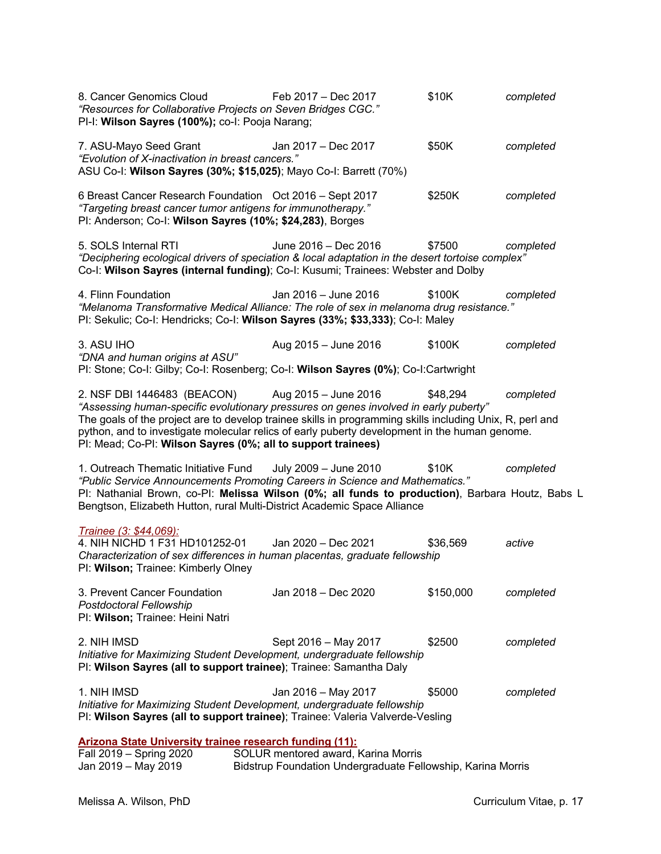| 8. Cancer Genomics Cloud<br>"Resources for Collaborative Projects on Seven Bridges CGC."<br>PI-I: Wilson Sayres (100%); co-I: Pooja Narang;                                                                                                                                                                                                                                                                           | Feb 2017 - Dec 2017                                                                                | \$10K     | completed |
|-----------------------------------------------------------------------------------------------------------------------------------------------------------------------------------------------------------------------------------------------------------------------------------------------------------------------------------------------------------------------------------------------------------------------|----------------------------------------------------------------------------------------------------|-----------|-----------|
| 7. ASU-Mayo Seed Grant<br>"Evolution of X-inactivation in breast cancers."<br>ASU Co-I: Wilson Sayres (30%; \$15,025); Mayo Co-I: Barrett (70%)                                                                                                                                                                                                                                                                       | Jan 2017 - Dec 2017                                                                                | \$50K     | completed |
| 6 Breast Cancer Research Foundation Oct 2016 - Sept 2017<br>"Targeting breast cancer tumor antigens for immunotherapy."<br>PI: Anderson; Co-I: Wilson Sayres (10%; \$24,283), Borges                                                                                                                                                                                                                                  |                                                                                                    | \$250K    | completed |
| 5. SOLS Internal RTI<br>"Deciphering ecological drivers of speciation & local adaptation in the desert tortoise complex"<br>Co-I: Wilson Sayres (internal funding); Co-I: Kusumi; Trainees: Webster and Dolby                                                                                                                                                                                                         | June 2016 - Dec 2016                                                                               | \$7500    | completed |
| 4. Flinn Foundation<br>"Melanoma Transformative Medical Alliance: The role of sex in melanoma drug resistance."<br>PI: Sekulic; Co-I: Hendricks; Co-I: Wilson Sayres (33%; \$33,333); Co-I: Maley                                                                                                                                                                                                                     | Jan 2016 - June 2016                                                                               | \$100K    | completed |
| 3. ASU IHO<br>"DNA and human origins at ASU"<br>PI: Stone; Co-I: Gilby; Co-I: Rosenberg; Co-I: Wilson Sayres (0%); Co-I:Cartwright                                                                                                                                                                                                                                                                                    | Aug 2015 - June 2016                                                                               | \$100K    | completed |
| 2. NSF DBI 1446483 (BEACON) Aug 2015 - June 2016<br>"Assessing human-specific evolutionary pressures on genes involved in early puberty"<br>The goals of the project are to develop trainee skills in programming skills including Unix, R, perl and<br>python, and to investigate molecular relics of early puberty development in the human genome.<br>PI: Mead; Co-PI: Wilson Sayres (0%; all to support trainees) |                                                                                                    | \$48,294  | completed |
| 1. Outreach Thematic Initiative Fund<br>"Public Service Announcements Promoting Careers in Science and Mathematics."<br>PI: Nathanial Brown, co-PI: Melissa Wilson (0%; all funds to production), Barbara Houtz, Babs L<br>Bengtson, Elizabeth Hutton, rural Multi-District Academic Space Alliance                                                                                                                   | July 2009 - June 2010                                                                              | \$10K     | completed |
| Trainee (3: \$44,069):<br>4. NIH NICHD 1 F31 HD101252-01<br>Characterization of sex differences in human placentas, graduate fellowship<br>PI: Wilson; Trainee: Kimberly Olney                                                                                                                                                                                                                                        | Jan 2020 - Dec 2021                                                                                | \$36,569  | active    |
| 3. Prevent Cancer Foundation<br>Postdoctoral Fellowship<br>Pl: Wilson; Trainee: Heini Natri                                                                                                                                                                                                                                                                                                                           | Jan 2018 - Dec 2020                                                                                | \$150,000 | completed |
| 2. NIH IMSD<br>Initiative for Maximizing Student Development, undergraduate fellowship<br>PI: Wilson Sayres (all to support trainee); Trainee: Samantha Daly                                                                                                                                                                                                                                                          | Sept 2016 - May 2017                                                                               | \$2500    | completed |
| 1. NIH IMSD<br>Initiative for Maximizing Student Development, undergraduate fellowship<br>PI: Wilson Sayres (all to support trainee); Trainee: Valeria Valverde-Vesling                                                                                                                                                                                                                                               | Jan 2016 - May 2017                                                                                | \$5000    | completed |
| <b>Arizona State University trainee research funding (11):</b>                                                                                                                                                                                                                                                                                                                                                        |                                                                                                    |           |           |
| Fall 2019 - Spring 2020<br>Jan 2019 - May 2019                                                                                                                                                                                                                                                                                                                                                                        | SOLUR mentored award, Karina Morris<br>Bidstrup Foundation Undergraduate Fellowship, Karina Morris |           |           |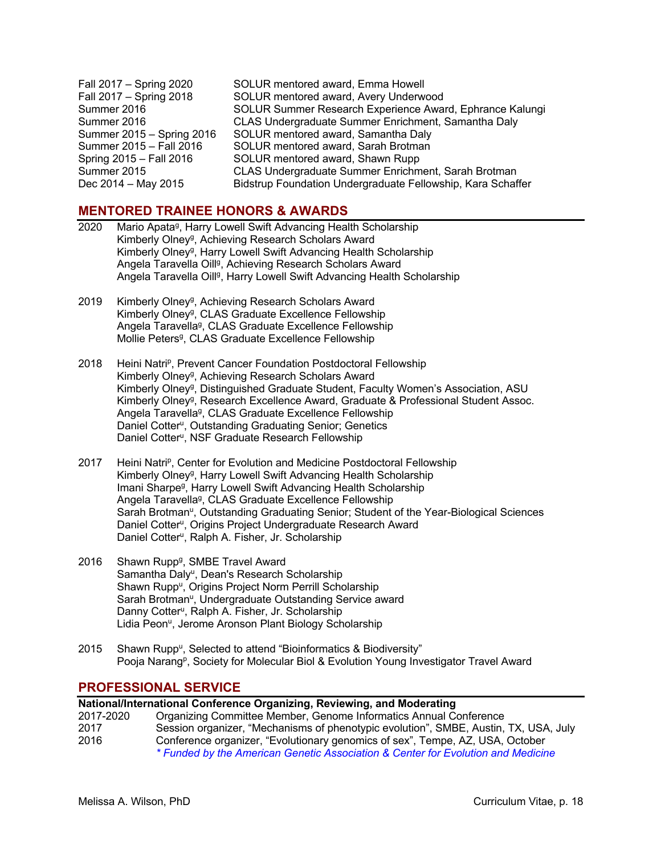Fall 2017 – Spring 2020 SOLUR mentored award, Emma Howell Fall 2017 – Spring 2018 SOLUR mentored award, Avery Underwood Summer 2016 SOLUR Summer Research Experience Award, Ephrance Kalungi Summer 2016 CLAS Undergraduate Summer Enrichment, Samantha Daly Summer 2015 – Spring 2016 SOLUR mentored award, Samantha Daly Summer 2015 – Fall 2016 SOLUR mentored award, Sarah Brotman Spring 2015 – Fall 2016 SOLUR mentored award, Shawn Rupp Summer 2015 CLAS Undergraduate Summer Enrichment, Sarah Brotman Dec 2014 – May 2015 Bidstrup Foundation Undergraduate Fellowship, Kara Schaffer

### **MENTORED TRAINEE HONORS & AWARDS**

- 2020 Mario Apata<sup>g</sup>, Harry Lowell Swift Advancing Health Scholarship Kimberly Olney<sup>g</sup>, Achieving Research Scholars Award Kimberly Olney<sup>g</sup>, Harry Lowell Swift Advancing Health Scholarship Angela Taravella Oill<sup>g</sup>, Achieving Research Scholars Award Angela Taravella Oill<sup>g</sup>, Harry Lowell Swift Advancing Health Scholarship
- 2019 Kimberly Olney<sup>g</sup>, Achieving Research Scholars Award Kimberly Olney<sup>g</sup>, CLAS Graduate Excellence Fellowship Angela Taravella<sup>g</sup>, CLAS Graduate Excellence Fellowship Mollie Peters<sup>g</sup>, CLAS Graduate Excellence Fellowship
- 2018 Heini Natri<sup>p</sup>, Prevent Cancer Foundation Postdoctoral Fellowship Kimberly Olney<sup>g</sup>, Achieving Research Scholars Award Kimberly Olneyg, Distinguished Graduate Student, Faculty Women's Association, ASU Kimberly Olneyg, Research Excellence Award, Graduate & Professional Student Assoc. Angela Taravella<sup>g</sup>, CLAS Graduate Excellence Fellowship Daniel Cotter<sup>u</sup>, Outstanding Graduating Senior; Genetics Daniel Cotter<sup>u</sup>, NSF Graduate Research Fellowship
- 2017 Heini Natri<sup>p</sup>, Center for Evolution and Medicine Postdoctoral Fellowship Kimberly Olney<sup>g</sup>, Harry Lowell Swift Advancing Health Scholarship Imani Sharpeg, Harry Lowell Swift Advancing Health Scholarship Angela Taravella<sup>g</sup>, CLAS Graduate Excellence Fellowship Sarah Brotman<sup>u</sup>, Outstanding Graduating Senior; Student of the Year-Biological Sciences Daniel Cotter<sup>u</sup>, Origins Project Undergraduate Research Award Daniel Cotter<sup>u</sup>, Ralph A. Fisher, Jr. Scholarship
- 2016 Shawn Rupp<sup>g</sup>, SMBE Travel Award Samantha Daly", Dean's Research Scholarship Shawn Rupp<sup>u</sup>, Origins Project Norm Perrill Scholarship Sarah Brotman<sup>u</sup>, Undergraduate Outstanding Service award Danny Cotter<sup>u</sup>, Ralph A. Fisher, Jr. Scholarship Lidia Peon<sup>u</sup>, Jerome Aronson Plant Biology Scholarship
- 2015 Shawn Rupp<sup>u</sup>, Selected to attend "Bioinformatics & Biodiversity" Pooja Narang<sup>p</sup>, Society for Molecular Biol & Evolution Young Investigator Travel Award

# **PROFESSIONAL SERVICE**

### **National/International Conference Organizing, Reviewing, and Moderating**

2017-2020 Organizing Committee Member, Genome Informatics Annual Conference 2017 Session organizer, "Mechanisms of phenotypic evolution", SMBE, Austin, TX, USA, July 2016 Conference organizer, "Evolutionary genomics of sex", Tempe, AZ, USA, October *\* Funded by the American Genetic Association & Center for Evolution and Medicine*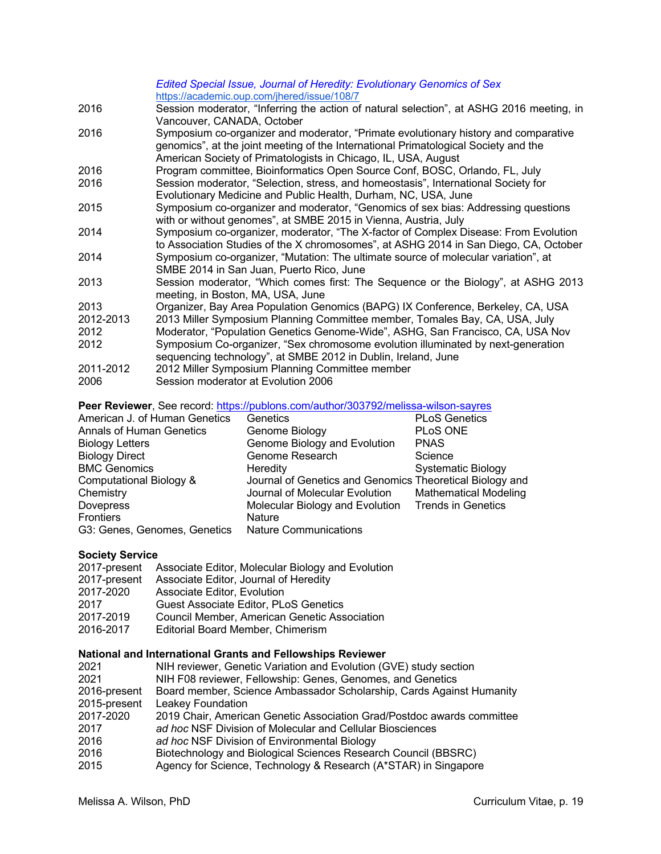|           | Edited Special Issue, Journal of Heredity: Evolutionary Genomics of Sex                  |
|-----------|------------------------------------------------------------------------------------------|
|           | https://academic.oup.com/jhered/issue/108/7                                              |
| 2016      | Session moderator, "Inferring the action of natural selection", at ASHG 2016 meeting, in |
|           | Vancouver, CANADA, October                                                               |
| 2016      | Symposium co-organizer and moderator, "Primate evolutionary history and comparative      |
|           | genomics", at the joint meeting of the International Primatological Society and the      |
|           | American Society of Primatologists in Chicago, IL, USA, August                           |
| 2016      | Program committee, Bioinformatics Open Source Conf, BOSC, Orlando, FL, July              |
| 2016      | Session moderator, "Selection, stress, and homeostasis", International Society for       |
|           | Evolutionary Medicine and Public Health, Durham, NC, USA, June                           |
| 2015      | Symposium co-organizer and moderator, "Genomics of sex bias: Addressing questions        |
|           | with or without genomes", at SMBE 2015 in Vienna, Austria, July                          |
| 2014      | Symposium co-organizer, moderator, "The X-factor of Complex Disease: From Evolution      |
|           | to Association Studies of the X chromosomes", at ASHG 2014 in San Diego, CA, October     |
| 2014      | Symposium co-organizer, "Mutation: The ultimate source of molecular variation", at       |
|           | SMBE 2014 in San Juan, Puerto Rico, June                                                 |
| 2013      | Session moderator, "Which comes first: The Sequence or the Biology", at ASHG 2013        |
|           | meeting, in Boston, MA, USA, June                                                        |
| 2013      | Organizer, Bay Area Population Genomics (BAPG) IX Conference, Berkeley, CA, USA          |
| 2012-2013 | 2013 Miller Symposium Planning Committee member, Tomales Bay, CA, USA, July              |
| 2012      | Moderator, "Population Genetics Genome-Wide", ASHG, San Francisco, CA, USA Nov           |
| 2012      | Symposium Co-organizer, "Sex chromosome evolution illuminated by next-generation         |
|           | sequencing technology", at SMBE 2012 in Dublin, Ireland, June                            |
| 2011-2012 | 2012 Miller Symposium Planning Committee member                                          |
| 2006      | Session moderator at Evolution 2006                                                      |
|           |                                                                                          |

Peer Reviewer, See record: https://publons.com/author/303792/melissa-wilson-sayres

| American J. of Human Genetics                      | Genetics                                                 | <b>PLoS Genetics</b>         |
|----------------------------------------------------|----------------------------------------------------------|------------------------------|
| <b>Annals of Human Genetics</b>                    | Genome Biology                                           | PLoS ONE                     |
| <b>Biology Letters</b>                             | Genome Biology and Evolution                             | <b>PNAS</b>                  |
| <b>Biology Direct</b>                              | Genome Research                                          | Science                      |
| <b>BMC Genomics</b>                                | Heredity                                                 | <b>Systematic Biology</b>    |
| Computational Biology &                            | Journal of Genetics and Genomics Theoretical Biology and |                              |
| Chemistry                                          | Journal of Molecular Evolution                           | <b>Mathematical Modeling</b> |
| <b>Dovepress</b>                                   | Molecular Biology and Evolution Trends in Genetics       |                              |
| Frontiers                                          | <b>Nature</b>                                            |                              |
| G3: Genes, Genomes, Genetics Nature Communications |                                                          |                              |

#### **Society Service**

|              | 2017-present Associate Editor, Molecular Biology and Evolution |
|--------------|----------------------------------------------------------------|
| 2017-present | Associate Editor, Journal of Heredity                          |
| 2017-2020    | Associate Editor, Evolution                                    |
| 2017         | <b>Guest Associate Editor, PLoS Genetics</b>                   |
| 2017-2019    | Council Member, American Genetic Association                   |
| 2016-2017    | Editorial Board Member, Chimerism                              |

### **National and International Grants and Fellowships Reviewer**

| 2021         | NIH reviewer, Genetic Variation and Evolution (GVE) study section      |
|--------------|------------------------------------------------------------------------|
| 2021         | NIH F08 reviewer, Fellowship: Genes, Genomes, and Genetics             |
| 2016-present | Board member, Science Ambassador Scholarship, Cards Against Humanity   |
| 2015-present | Leakey Foundation                                                      |
| 2017-2020    | 2019 Chair, American Genetic Association Grad/Postdoc awards committee |
| 2017         | ad hoc NSF Division of Molecular and Cellular Biosciences              |
| 2016         | ad hoc NSF Division of Environmental Biology                           |
| 2016         | Biotechnology and Biological Sciences Research Council (BBSRC)         |
| 2015         | Agency for Science, Technology & Research (A*STAR) in Singapore        |
|              |                                                                        |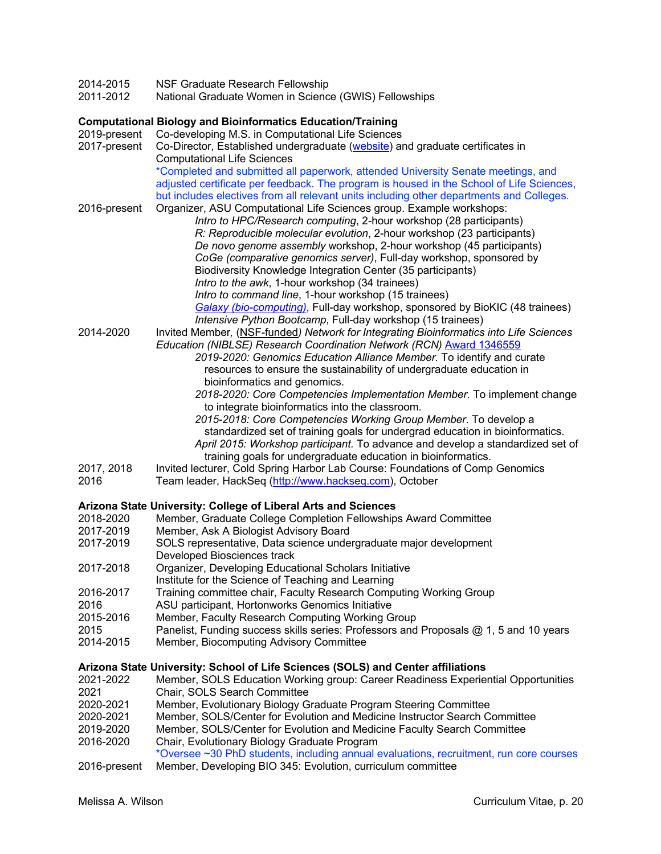- 2014-2015 NSF Graduate Research Fellowship<br>2011-2012 National Graduate Women in Science
- National Graduate Women in Science (GWIS) Fellowships

# **Computational Biology and Bioinformatics Education/Training**

| 2019-present<br>2017-present                                                          | Co-developing M.S. in Computational Life Sciences<br>Co-Director, Established undergraduate (website) and graduate certificates in                                                                                                                                                                                                                                                                                                                                                                                                                                                                                                                                                                                  |
|---------------------------------------------------------------------------------------|---------------------------------------------------------------------------------------------------------------------------------------------------------------------------------------------------------------------------------------------------------------------------------------------------------------------------------------------------------------------------------------------------------------------------------------------------------------------------------------------------------------------------------------------------------------------------------------------------------------------------------------------------------------------------------------------------------------------|
|                                                                                       | <b>Computational Life Sciences</b><br>*Completed and submitted all paperwork, attended University Senate meetings, and<br>adjusted certificate per feedback. The program is housed in the School of Life Sciences,                                                                                                                                                                                                                                                                                                                                                                                                                                                                                                  |
| 2016-present                                                                          | but includes electives from all relevant units including other departments and Colleges.<br>Organizer, ASU Computational Life Sciences group. Example workshops:<br>Intro to HPC/Research computing, 2-hour workshop (28 participants)                                                                                                                                                                                                                                                                                                                                                                                                                                                                              |
|                                                                                       | R: Reproducible molecular evolution, 2-hour workshop (23 participants)<br>De novo genome assembly workshop, 2-hour workshop (45 participants)<br>CoGe (comparative genomics server), Full-day workshop, sponsored by<br>Biodiversity Knowledge Integration Center (35 participants)<br>Intro to the awk, 1-hour workshop (34 trainees)<br>Intro to command line, 1-hour workshop (15 trainees)<br>Galaxy (bio-computing), Full-day workshop, sponsored by BioKIC (48 trainees)<br>Intensive Python Bootcamp, Full-day workshop (15 trainees)                                                                                                                                                                        |
| 2014-2020                                                                             | Invited Member, (NSF-funded) Network for Integrating Bioinformatics into Life Sciences<br>Education (NIBLSE) Research Coordination Network (RCN) Award 1346559<br>2019-2020: Genomics Education Alliance Member. To identify and curate<br>resources to ensure the sustainability of undergraduate education in<br>bioinformatics and genomics.<br>2018-2020: Core Competencies Implementation Member. To implement change<br>to integrate bioinformatics into the classroom.<br>2015-2018: Core Competencies Working Group Member. To develop a<br>standardized set of training goals for undergrad education in bioinformatics.<br>April 2015: Workshop participant. To advance and develop a standardized set of |
| 2017, 2018<br>2016                                                                    | training goals for undergraduate education in bioinformatics.<br>Invited lecturer, Cold Spring Harbor Lab Course: Foundations of Comp Genomics<br>Team leader, HackSeq (http://www.hackseq.com), October                                                                                                                                                                                                                                                                                                                                                                                                                                                                                                            |
|                                                                                       | Arizona State University: College of Liberal Arts and Sciences                                                                                                                                                                                                                                                                                                                                                                                                                                                                                                                                                                                                                                                      |
| 2018-2020                                                                             | Member, Graduate College Completion Fellowships Award Committee                                                                                                                                                                                                                                                                                                                                                                                                                                                                                                                                                                                                                                                     |
| 2017-2019<br>2017-2019                                                                | Member, Ask A Biologist Advisory Board<br>SOLS representative, Data science undergraduate major development<br>Developed Biosciences track                                                                                                                                                                                                                                                                                                                                                                                                                                                                                                                                                                          |
| 2017-2018                                                                             | Organizer, Developing Educational Scholars Initiative<br>Institute for the Science of Teaching and Learning                                                                                                                                                                                                                                                                                                                                                                                                                                                                                                                                                                                                         |
| 2016-2017<br>2016                                                                     | Training committee chair, Faculty Research Computing Working Group<br>ASU participant, Hortonworks Genomics Initiative                                                                                                                                                                                                                                                                                                                                                                                                                                                                                                                                                                                              |
| 2015-2016<br>2015                                                                     | Member, Faculty Research Computing Working Group<br>Panelist, Funding success skills series: Professors and Proposals @ 1, 5 and 10 years                                                                                                                                                                                                                                                                                                                                                                                                                                                                                                                                                                           |
| 2014-2015                                                                             | Member, Biocomputing Advisory Committee                                                                                                                                                                                                                                                                                                                                                                                                                                                                                                                                                                                                                                                                             |
|                                                                                       | Arizona State University: School of Life Sciences (SOLS) and Center affiliations                                                                                                                                                                                                                                                                                                                                                                                                                                                                                                                                                                                                                                    |
| 2021-2022<br>2021<br>2020-2021<br>2020-2021<br>2019-2020<br>2016-2020<br>2016-present | Member, SOLS Education Working group: Career Readiness Experiential Opportunities<br>Chair, SOLS Search Committee<br>Member, Evolutionary Biology Graduate Program Steering Committee<br>Member, SOLS/Center for Evolution and Medicine Instructor Search Committee<br>Member, SOLS/Center for Evolution and Medicine Faculty Search Committee<br>Chair, Evolutionary Biology Graduate Program<br>*Oversee ~30 PhD students, including annual evaluations, recruitment, run core courses<br>Member, Developing BIO 345: Evolution, curriculum committee                                                                                                                                                             |
|                                                                                       |                                                                                                                                                                                                                                                                                                                                                                                                                                                                                                                                                                                                                                                                                                                     |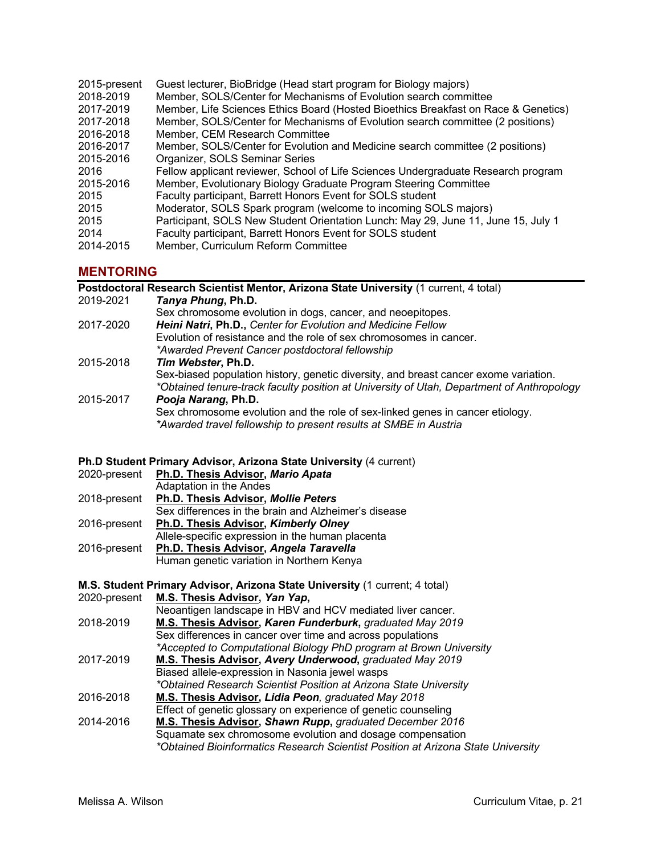| 2015-present | Guest lecturer, BioBridge (Head start program for Biology majors)                  |
|--------------|------------------------------------------------------------------------------------|
| 2018-2019    | Member, SOLS/Center for Mechanisms of Evolution search committee                   |
| 2017-2019    | Member, Life Sciences Ethics Board (Hosted Bioethics Breakfast on Race & Genetics) |
| 2017-2018    | Member, SOLS/Center for Mechanisms of Evolution search committee (2 positions)     |
| 2016-2018    | Member, CEM Research Committee                                                     |
| 2016-2017    | Member, SOLS/Center for Evolution and Medicine search committee (2 positions)      |
| 2015-2016    | Organizer, SOLS Seminar Series                                                     |
| 2016         | Fellow applicant reviewer, School of Life Sciences Undergraduate Research program  |
| 2015-2016    | Member, Evolutionary Biology Graduate Program Steering Committee                   |
| 2015         | Faculty participant, Barrett Honors Event for SOLS student                         |
| 2015         | Moderator, SOLS Spark program (welcome to incoming SOLS majors)                    |
| 2015         | Participant, SOLS New Student Orientation Lunch: May 29, June 11, June 15, July 1  |
| 2014         | Faculty participant, Barrett Honors Event for SOLS student                         |
| 2014-2015    | Member, Curriculum Reform Committee                                                |

# **MENTORING**

|           | Postdoctoral Research Scientist Mentor, Arizona State University (1 current, 4 total)     |
|-----------|-------------------------------------------------------------------------------------------|
| 2019-2021 | Tanya Phung, Ph.D.                                                                        |
|           | Sex chromosome evolution in dogs, cancer, and neoepitopes.                                |
| 2017-2020 | Heini Natri, Ph.D., Center for Evolution and Medicine Fellow                              |
|           | Evolution of resistance and the role of sex chromosomes in cancer.                        |
|           | *Awarded Prevent Cancer postdoctoral fellowship                                           |
| 2015-2018 | Tim Webster, Ph.D.                                                                        |
|           | Sex-biased population history, genetic diversity, and breast cancer exome variation.      |
|           | *Obtained tenure-track faculty position at University of Utah, Department of Anthropology |
| 2015-2017 | Pooja Narang, Ph.D.                                                                       |
|           | Sex chromosome evolution and the role of sex-linked genes in cancer etiology.             |
|           | *Awarded travel fellowship to present results at SMBE in Austria                          |

#### **Ph.D Student Primary Advisor, Arizona State University** (4 current)

| 2020-present | Ph.D. Thesis Advisor, Mario Apata                    |  |
|--------------|------------------------------------------------------|--|
|              | Adaptation in the Andes                              |  |
| 2018-present | Ph.D. Thesis Advisor, Mollie Peters                  |  |
|              | Sex differences in the brain and Alzheimer's disease |  |
| 2016-present | Ph.D. Thesis Advisor, Kimberly Olney                 |  |
|              | Allele-specific expression in the human placenta     |  |
| 2016-present | Ph.D. Thesis Advisor, Angela Taravella               |  |
|              | Human genetic variation in Northern Kenya            |  |

#### **M.S. Student Primary Advisor, Arizona State University** (1 current; 4 total) 2020-present **M.S. Thesis Advisor,** *Yan Yap***,**

Neoantigen landscape in HBV and HCV mediated liver cancer.

| <b>M.S. Thesis Advisor, Karen Funderburk, graduated May 2019</b>   |
|--------------------------------------------------------------------|
| Sex differences in cancer over time and across populations         |
| *Accepted to Computational Biology PhD program at Brown University |
|                                                                    |

- 2017-2019 **M.S. Thesis Advisor,** *Avery Underwood***,** *graduated May 2019* Biased allele-expression in Nasonia jewel wasps *\*Obtained Research Scientist Position at Arizona State University*
- 2016-2018 **M.S. Thesis Advisor,** *Lidia Peon, graduated May 2018* Effect of genetic glossary on experience of genetic counseling
- 2014-2016 **M.S. Thesis Advisor,** *Shawn Rupp***,** *graduated December 2016* Squamate sex chromosome evolution and dosage compensation *\*Obtained Bioinformatics Research Scientist Position at Arizona State University*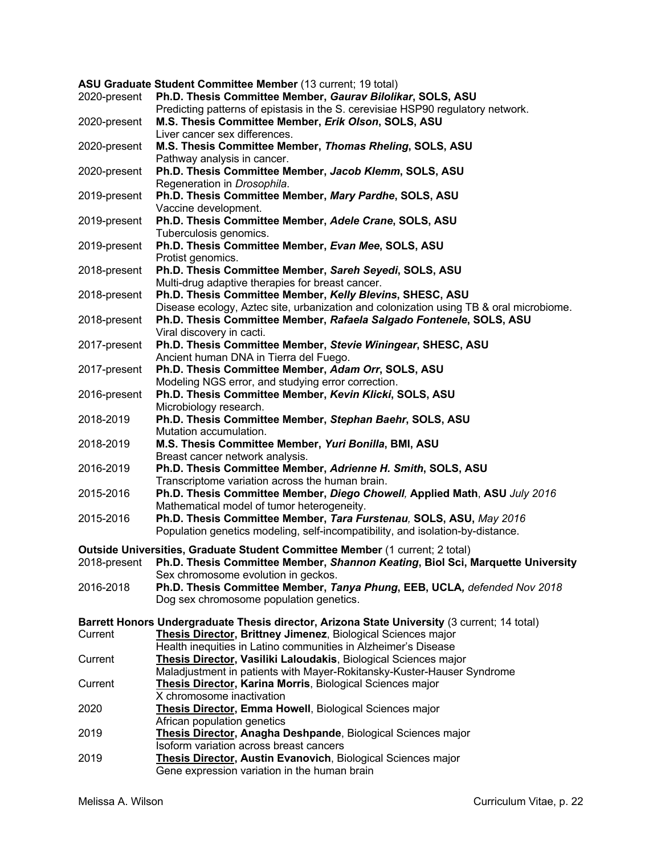|              | ASU Graduate Student Committee Member (13 current; 19 total)                                 |
|--------------|----------------------------------------------------------------------------------------------|
| 2020-present | Ph.D. Thesis Committee Member, Gaurav Bilolikar, SOLS, ASU                                   |
|              | Predicting patterns of epistasis in the S. cerevisiae HSP90 regulatory network.              |
| 2020-present | M.S. Thesis Committee Member, Erik Olson, SOLS, ASU                                          |
|              | Liver cancer sex differences.                                                                |
| 2020-present | M.S. Thesis Committee Member, Thomas Rheling, SOLS, ASU                                      |
|              | Pathway analysis in cancer.                                                                  |
| 2020-present | Ph.D. Thesis Committee Member, Jacob Klemm, SOLS, ASU                                        |
|              | Regeneration in Drosophila.                                                                  |
| 2019-present | Ph.D. Thesis Committee Member, Mary Pardhe, SOLS, ASU                                        |
|              | Vaccine development.                                                                         |
| 2019-present | Ph.D. Thesis Committee Member, Adele Crane, SOLS, ASU                                        |
|              | Tuberculosis genomics.                                                                       |
| 2019-present | Ph.D. Thesis Committee Member, Evan Mee, SOLS, ASU                                           |
|              | Protist genomics.                                                                            |
| 2018-present | Ph.D. Thesis Committee Member, Sareh Seyedi, SOLS, ASU                                       |
|              | Multi-drug adaptive therapies for breast cancer.                                             |
| 2018-present | Ph.D. Thesis Committee Member, Kelly Blevins, SHESC, ASU                                     |
|              | Disease ecology, Aztec site, urbanization and colonization using TB & oral microbiome.       |
| 2018-present | Ph.D. Thesis Committee Member, Rafaela Salgado Fontenele, SOLS, ASU                          |
|              | Viral discovery in cacti.                                                                    |
| 2017-present | Ph.D. Thesis Committee Member, Stevie Winingear, SHESC, ASU                                  |
|              | Ancient human DNA in Tierra del Fuego.                                                       |
| 2017-present | Ph.D. Thesis Committee Member, Adam Orr, SOLS, ASU                                           |
|              | Modeling NGS error, and studying error correction.                                           |
| 2016-present | Ph.D. Thesis Committee Member, Kevin Klicki, SOLS, ASU                                       |
|              | Microbiology research.                                                                       |
| 2018-2019    | Ph.D. Thesis Committee Member, Stephan Baehr, SOLS, ASU                                      |
|              | Mutation accumulation.                                                                       |
| 2018-2019    | M.S. Thesis Committee Member, Yuri Bonilla, BMI, ASU                                         |
|              | Breast cancer network analysis.                                                              |
| 2016-2019    | Ph.D. Thesis Committee Member, Adrienne H. Smith, SOLS, ASU                                  |
|              | Transcriptome variation across the human brain.                                              |
| 2015-2016    | Ph.D. Thesis Committee Member, Diego Chowell, Applied Math, ASU July 2016                    |
|              | Mathematical model of tumor heterogeneity.                                                   |
| 2015-2016    | Ph.D. Thesis Committee Member, Tara Furstenau, SOLS, ASU, May 2016                           |
|              | Population genetics modeling, self-incompatibility, and isolation-by-distance.               |
|              | Outside Universities, Graduate Student Committee Member (1 current; 2 total)                 |
|              | Ph.D. Thesis Committee Member, Shannon Keating, Biol Sci, Marquette University               |
| 2018-present | Sex chromosome evolution in geckos.                                                          |
| 2016-2018    | Ph.D. Thesis Committee Member, Tanya Phung, EEB, UCLA, defended Nov 2018                     |
|              | Dog sex chromosome population genetics.                                                      |
|              |                                                                                              |
|              | Barrett Honors Undergraduate Thesis director, Arizona State University (3 current; 14 total) |
| Current      | Thesis Director, Brittney Jimenez, Biological Sciences major                                 |
|              | Health inequities in Latino communities in Alzheimer's Disease                               |
| Current      | Thesis Director, Vasiliki Laloudakis, Biological Sciences major                              |
|              | Maladjustment in patients with Mayer-Rokitansky-Kuster-Hauser Syndrome                       |
| Current      | Thesis Director, Karina Morris, Biological Sciences major                                    |
|              | X chromosome inactivation                                                                    |
| 2020         | Thesis Director, Emma Howell, Biological Sciences major                                      |
|              | African population genetics                                                                  |
| 2019         | Thesis Director, Anagha Deshpande, Biological Sciences major                                 |
|              | Isoform variation across breast cancers                                                      |
| 2019         | Thesis Director, Austin Evanovich, Biological Sciences major                                 |
|              | Gene expression variation in the human brain                                                 |
|              |                                                                                              |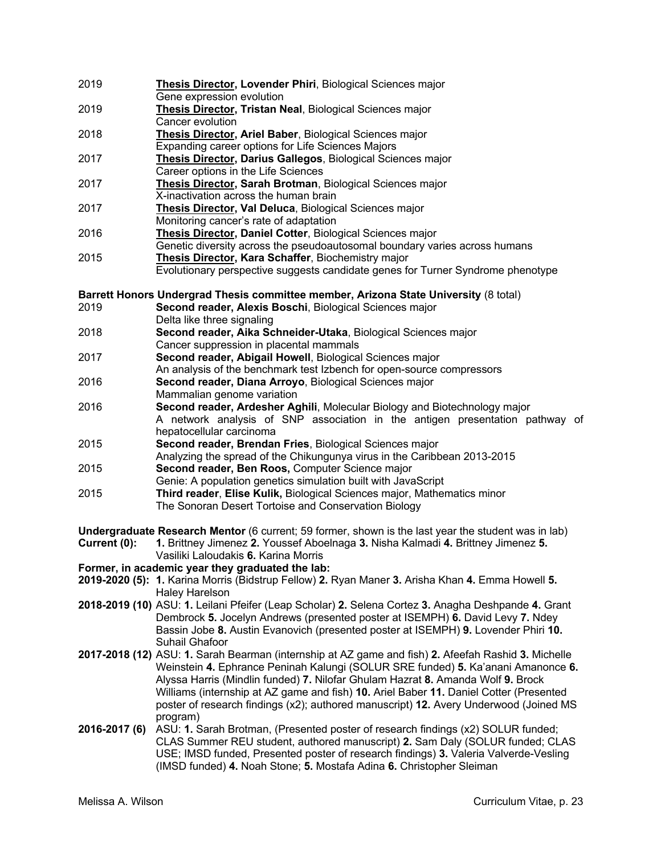2019 **Thesis Director, Lovender Phiri**, Biological Sciences major Gene expression evolution 2019 **Thesis Director, Tristan Neal**, Biological Sciences major Cancer evolution 2018 **Thesis Director, Ariel Baber**, Biological Sciences major Expanding career options for Life Sciences Majors 2017 **Thesis Director, Darius Gallegos**, Biological Sciences major Career options in the Life Sciences 2017 **Thesis Director, Sarah Brotman**, Biological Sciences major X-inactivation across the human brain 2017 **Thesis Director, Val Deluca**, Biological Sciences major Monitoring cancer's rate of adaptation 2016 **Thesis Director, Daniel Cotter**, Biological Sciences major Genetic diversity across the pseudoautosomal boundary varies across humans 2015 **Thesis Director, Kara Schaffer**, Biochemistry major Evolutionary perspective suggests candidate genes for Turner Syndrome phenotype **Barrett Honors Undergrad Thesis committee member, Arizona State University** (8 total) 2019 **Second reader, Alexis Boschi**, Biological Sciences major Delta like three signaling 2018 **Second reader, Aika Schneider-Utaka**, Biological Sciences major Cancer suppression in placental mammals 2017 **Second reader, Abigail Howell**, Biological Sciences major An analysis of the benchmark test Izbench for open-source compressors 2016 **Second reader, Diana Arroyo**, Biological Sciences major Mammalian genome variation 2016 **Second reader, Ardesher Aghili**, Molecular Biology and Biotechnology major A network analysis of SNP association in the antigen presentation pathway of hepatocellular carcinoma 2015 **Second reader, Brendan Fries**, Biological Sciences major Analyzing the spread of the Chikungunya virus in the Caribbean 2013-2015 2015 **Second reader, Ben Roos,** Computer Science major Genie: A population genetics simulation built with JavaScript 2015 **Third reader**, **Elise Kulik,** Biological Sciences major, Mathematics minor The Sonoran Desert Tortoise and Conservation Biology **Undergraduate Research Mentor** (6 current; 59 former, shown is the last year the student was in lab) **Current (0): 1.** Brittney Jimenez **2.** Youssef Aboelnaga **3.** Nisha Kalmadi **4.** Brittney Jimenez **5.** Vasiliki Laloudakis **6.** Karina Morris **Former, in academic year they graduated the lab: 2019-2020 (5): 1.** Karina Morris (Bidstrup Fellow) **2.** Ryan Maner **3.** Arisha Khan **4.** Emma Howell **5.** Haley Harelson **2018-2019 (10)** ASU: **1.** Leilani Pfeifer (Leap Scholar) **2.** Selena Cortez **3.** Anagha Deshpande **4.** Grant Dembrock **5.** Jocelyn Andrews (presented poster at ISEMPH) **6.** David Levy **7.** Ndey Bassin Jobe **8.** Austin Evanovich (presented poster at ISEMPH) **9.** Lovender Phiri **10.** Suhail Ghafoor **2017-2018 (12)** ASU: **1.** Sarah Bearman (internship at AZ game and fish) **2.** Afeefah Rashid **3.** Michelle Weinstein **4.** Ephrance Peninah Kalungi (SOLUR SRE funded) **5.** Ka'anani Amanonce **6.** Alyssa Harris (Mindlin funded) **7.** Nilofar Ghulam Hazrat **8.** Amanda Wolf **9.** Brock Williams (internship at AZ game and fish) **10.** Ariel Baber **11.** Daniel Cotter (Presented poster of research findings (x2); authored manuscript) **12.** Avery Underwood (Joined MS program) **2016-2017 (6)** ASU: **1.** Sarah Brotman, (Presented poster of research findings (x2) SOLUR funded; CLAS Summer REU student, authored manuscript) **2.** Sam Daly (SOLUR funded; CLAS USE; IMSD funded, Presented poster of research findings) **3.** Valeria Valverde-Vesling (IMSD funded) **4.** Noah Stone; **5.** Mostafa Adina **6.** Christopher Sleiman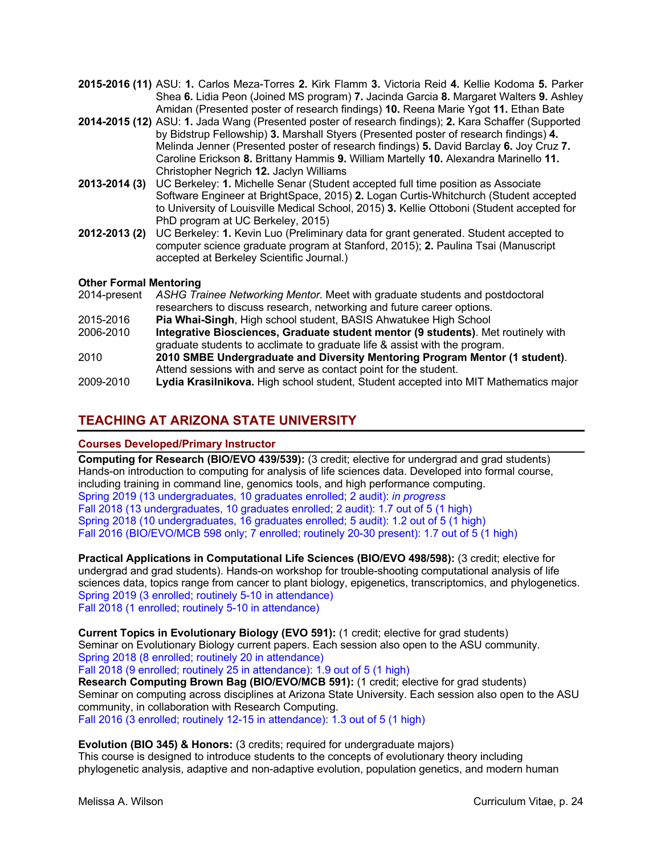- **2015-2016 (11)** ASU: **1.** Carlos Meza-Torres **2.** Kirk Flamm **3.** Victoria Reid **4.** Kellie Kodoma **5.** Parker Shea **6.** Lidia Peon (Joined MS program) **7.** Jacinda Garcia **8.** Margaret Walters **9.** Ashley Amidan (Presented poster of research findings) **10.** Reena Marie Ygot **11.** Ethan Bate
- **2014-2015 (12)** ASU: **1.** Jada Wang (Presented poster of research findings); **2.** Kara Schaffer (Supported by Bidstrup Fellowship) **3.** Marshall Styers (Presented poster of research findings) **4.** Melinda Jenner (Presented poster of research findings) **5.** David Barclay **6.** Joy Cruz **7.** Caroline Erickson **8.** Brittany Hammis **9.** William Martelly **10.** Alexandra Marinello **11.** Christopher Negrich **12.** Jaclyn Williams
- **2013-2014 (3)** UC Berkeley: **1.** Michelle Senar (Student accepted full time position as Associate Software Engineer at BrightSpace, 2015) **2.** Logan Curtis-Whitchurch (Student accepted to University of Louisville Medical School, 2015) **3.** Kellie Ottoboni (Student accepted for PhD program at UC Berkeley, 2015)
- **2012-2013 (2)** UC Berkeley: **1.** Kevin Luo (Preliminary data for grant generated. Student accepted to computer science graduate program at Stanford, 2015); **2.** Paulina Tsai (Manuscript accepted at Berkeley Scientific Journal.)

### **Other Formal Mentoring**

| 2014-present | ASHG Trainee Networking Mentor. Meet with graduate students and postdoctoral         |
|--------------|--------------------------------------------------------------------------------------|
|              | researchers to discuss research, networking and future career options.               |
| 2015-2016    | Pia Whai-Singh, High school student, BASIS Ahwatukee High School                     |
| 2006-2010    | Integrative Biosciences, Graduate student mentor (9 students). Met routinely with    |
|              | graduate students to acclimate to graduate life & assist with the program.           |
| 2010         | 2010 SMBE Undergraduate and Diversity Mentoring Program Mentor (1 student).          |
|              | Attend sessions with and serve as contact point for the student.                     |
| 2009-2010    | Lydia Krasilnikova. High school student, Student accepted into MIT Mathematics major |

# **TEACHING AT ARIZONA STATE UNIVERSITY**

### **Courses Developed/Primary Instructor**

**Computing for Research (BIO/EVO 439/539):** (3 credit; elective for undergrad and grad students) Hands-on introduction to computing for analysis of life sciences data. Developed into formal course, including training in command line, genomics tools, and high performance computing. Spring 2019 (13 undergraduates, 10 graduates enrolled; 2 audit): *in progress* Fall 2018 (13 undergraduates, 10 graduates enrolled; 2 audit): 1.7 out of 5 (1 high) Spring 2018 (10 undergraduates, 16 graduates enrolled; 5 audit): 1.2 out of 5 (1 high) Fall 2016 (BIO/EVO/MCB 598 only; 7 enrolled; routinely 20-30 present): 1.7 out of 5 (1 high)

**Practical Applications in Computational Life Sciences (BIO/EVO 498/598):** (3 credit; elective for undergrad and grad students). Hands-on workshop for trouble-shooting computational analysis of life sciences data, topics range from cancer to plant biology, epigenetics, transcriptomics, and phylogenetics. Spring 2019 (3 enrolled; routinely 5-10 in attendance) Fall 2018 (1 enrolled; routinely 5-10 in attendance)

**Current Topics in Evolutionary Biology (EVO 591):** (1 credit; elective for grad students) Seminar on Evolutionary Biology current papers. Each session also open to the ASU community. Spring 2018 (8 enrolled; routinely 20 in attendance)

Fall 2018 (9 enrolled; routinely 25 in attendance): 1.9 out of 5 (1 high)

**Research Computing Brown Bag (BIO/EVO/MCB 591):** (1 credit; elective for grad students) Seminar on computing across disciplines at Arizona State University. Each session also open to the ASU community, in collaboration with Research Computing. Fall 2016 (3 enrolled; routinely 12-15 in attendance): 1.3 out of 5 (1 high)

**Evolution (BIO 345) & Honors:** (3 credits; required for undergraduate majors)

This course is designed to introduce students to the concepts of evolutionary theory including phylogenetic analysis, adaptive and non-adaptive evolution, population genetics, and modern human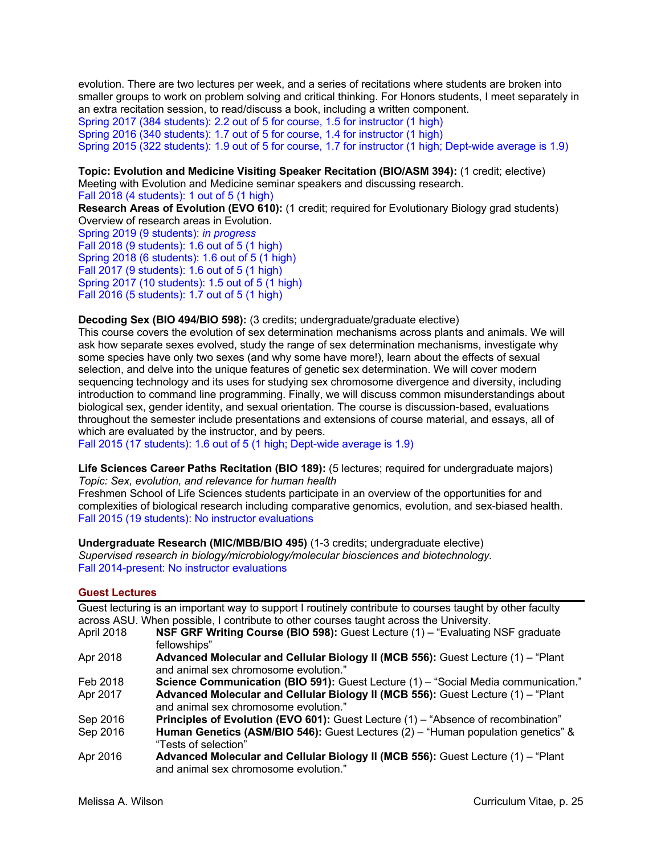evolution. There are two lectures per week, and a series of recitations where students are broken into smaller groups to work on problem solving and critical thinking. For Honors students, I meet separately in an extra recitation session, to read/discuss a book, including a written component. Spring 2017 (384 students): 2.2 out of 5 for course, 1.5 for instructor (1 high) Spring 2016 (340 students): 1.7 out of 5 for course, 1.4 for instructor (1 high) Spring 2015 (322 students): 1.9 out of 5 for course, 1.7 for instructor (1 high; Dept-wide average is 1.9)

**Topic: Evolution and Medicine Visiting Speaker Recitation (BIO/ASM 394):** (1 credit; elective) Meeting with Evolution and Medicine seminar speakers and discussing research.

Fall 2018 (4 students): 1 out of 5 (1 high)

**Research Areas of Evolution (EVO 610):** (1 credit; required for Evolutionary Biology grad students) Overview of research areas in Evolution.

Spring 2019 (9 students): *in progress* Fall 2018 (9 students): 1.6 out of 5 (1 high) Spring 2018 (6 students): 1.6 out of 5 (1 high) Fall 2017 (9 students): 1.6 out of 5 (1 high) Spring 2017 (10 students): 1.5 out of 5 (1 high) Fall 2016 (5 students): 1.7 out of 5 (1 high)

#### **Decoding Sex (BIO 494/BIO 598):** (3 credits; undergraduate/graduate elective)

This course covers the evolution of sex determination mechanisms across plants and animals. We will ask how separate sexes evolved, study the range of sex determination mechanisms, investigate why some species have only two sexes (and why some have more!), learn about the effects of sexual selection, and delve into the unique features of genetic sex determination. We will cover modern sequencing technology and its uses for studying sex chromosome divergence and diversity, including introduction to command line programming. Finally, we will discuss common misunderstandings about biological sex, gender identity, and sexual orientation. The course is discussion-based, evaluations throughout the semester include presentations and extensions of course material, and essays, all of which are evaluated by the instructor, and by peers.

Fall 2015 (17 students): 1.6 out of 5 (1 high; Dept-wide average is 1.9)

**Life Sciences Career Paths Recitation (BIO 189):** (5 lectures; required for undergraduate majors) *Topic: Sex, evolution, and relevance for human health*

Freshmen School of Life Sciences students participate in an overview of the opportunities for and complexities of biological research including comparative genomics, evolution, and sex-biased health. Fall 2015 (19 students): No instructor evaluations

**Undergraduate Research (MIC/MBB/BIO 495)** (1-3 credits; undergraduate elective) *Supervised research in biology/microbiology/molecular biosciences and biotechnology.*  Fall 2014-present: No instructor evaluations

### **Guest Lectures**

|            | Guest lecturing is an important way to support I routinely contribute to courses taught by other faculty                  |
|------------|---------------------------------------------------------------------------------------------------------------------------|
|            | across ASU. When possible, I contribute to other courses taught across the University.                                    |
| April 2018 | NSF GRF Writing Course (BIO 598): Guest Lecture (1) - "Evaluating NSF graduate                                            |
|            | fellowships"                                                                                                              |
| Apr 2018   | Advanced Molecular and Cellular Biology II (MCB 556): Guest Lecture (1) - "Plant<br>and animal sex chromosome evolution." |
| Feb 2018   | Science Communication (BIO 591): Guest Lecture (1) - "Social Media communication."                                        |
| Apr 2017   | Advanced Molecular and Cellular Biology II (MCB 556): Guest Lecture (1) - "Plant<br>and animal sex chromosome evolution." |
| Sep 2016   | Principles of Evolution (EVO 601): Guest Lecture (1) - "Absence of recombination"                                         |
| Sep 2016   | Human Genetics (ASM/BIO 546): Guest Lectures (2) - "Human population genetics" &<br>"Tests of selection"                  |
| Apr 2016   | Advanced Molecular and Cellular Biology II (MCB 556): Guest Lecture (1) - "Plant<br>and animal sex chromosome evolution." |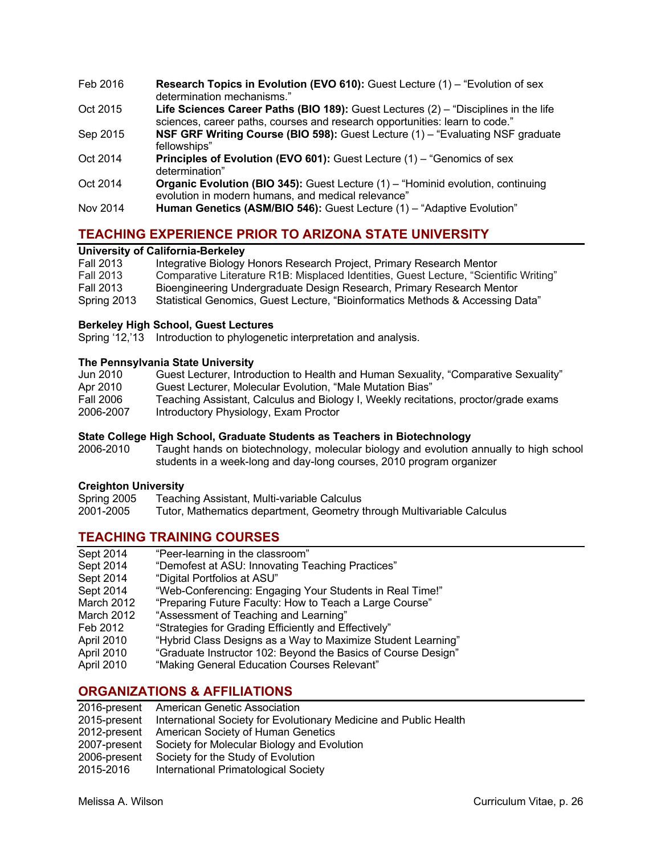- Feb 2016 **Research Topics in Evolution (EVO 610):** Guest Lecture (1) "Evolution of sex determination mechanisms."
- Oct 2015 **Life Sciences Career Paths (BIO 189):** Guest Lectures (2) "Disciplines in the life sciences, career paths, courses and research opportunities: learn to code."
- Sep 2015 **NSF GRF Writing Course (BIO 598):** Guest Lecture (1) "Evaluating NSF graduate fellowships"
- Oct 2014 **Principles of Evolution (EVO 601):** Guest Lecture (1) "Genomics of sex determination"
- Oct 2014 **Organic Evolution (BIO 345):** Guest Lecture (1) "Hominid evolution, continuing evolution in modern humans, and medical relevance"
- Nov 2014 **Human Genetics (ASM/BIO 546):** Guest Lecture (1) "Adaptive Evolution"

# **TEACHING EXPERIENCE PRIOR TO ARIZONA STATE UNIVERSITY**

### **University of California-Berkeley**

| <b>Fall 2013</b> | Integrative Biology Honors Research Project, Primary Research Mentor                  |
|------------------|---------------------------------------------------------------------------------------|
| <b>Fall 2013</b> | Comparative Literature R1B: Misplaced Identities, Guest Lecture, "Scientific Writing" |
| <b>Fall 2013</b> | Bioengineering Undergraduate Design Research, Primary Research Mentor                 |
| Spring 2013      | Statistical Genomics, Guest Lecture, "Bioinformatics Methods & Accessing Data"        |

### **Berkeley High School, Guest Lectures**

Spring '12,'13 Introduction to phylogenetic interpretation and analysis.

### **The Pennsylvania State University**

| Jun 2010         | Guest Lecturer, Introduction to Health and Human Sexuality, "Comparative Sexuality" |
|------------------|-------------------------------------------------------------------------------------|
| Apr 2010         | Guest Lecturer, Molecular Evolution, "Male Mutation Bias"                           |
| <b>Fall 2006</b> | Teaching Assistant, Calculus and Biology I, Weekly recitations, proctor/grade exams |
| 2006-2007        | Introductory Physiology, Exam Proctor                                               |
|                  |                                                                                     |

### **State College High School, Graduate Students as Teachers in Biotechnology**

2006-2010 Taught hands on biotechnology, molecular biology and evolution annually to high school students in a week-long and day-long courses, 2010 program organizer

#### **Creighton University**

| Spring 2005 | Teaching Assistant, Multi-variable Calculus |  |
|-------------|---------------------------------------------|--|
|             |                                             |  |

2001-2005 Tutor, Mathematics department, Geometry through Multivariable Calculus

# **TEACHING TRAINING COURSES**

| Sept 2014  | "Peer-learning in the classroom"                              |
|------------|---------------------------------------------------------------|
| Sept 2014  | "Demofest at ASU: Innovating Teaching Practices"              |
| Sept 2014  | "Digital Portfolios at ASU"                                   |
| Sept 2014  | "Web-Conferencing: Engaging Your Students in Real Time!"      |
| March 2012 | "Preparing Future Faculty: How to Teach a Large Course"       |
| March 2012 | "Assessment of Teaching and Learning"                         |
| Feb 2012   | "Strategies for Grading Efficiently and Effectively"          |
| April 2010 | "Hybrid Class Designs as a Way to Maximize Student Learning"  |
| April 2010 | "Graduate Instructor 102: Beyond the Basics of Course Design" |
| April 2010 | "Making General Education Courses Relevant"                   |
|            |                                                               |

# **ORGANIZATIONS & AFFILIATIONS**

|              | 2016-present American Genetic Association                                      |
|--------------|--------------------------------------------------------------------------------|
|              | 2015-present International Society for Evolutionary Medicine and Public Health |
|              | 2012-present American Society of Human Genetics                                |
| 2007-present | Society for Molecular Biology and Evolution                                    |
| 2006-present | Society for the Study of Evolution                                             |
| 2015-2016    | International Primatological Society                                           |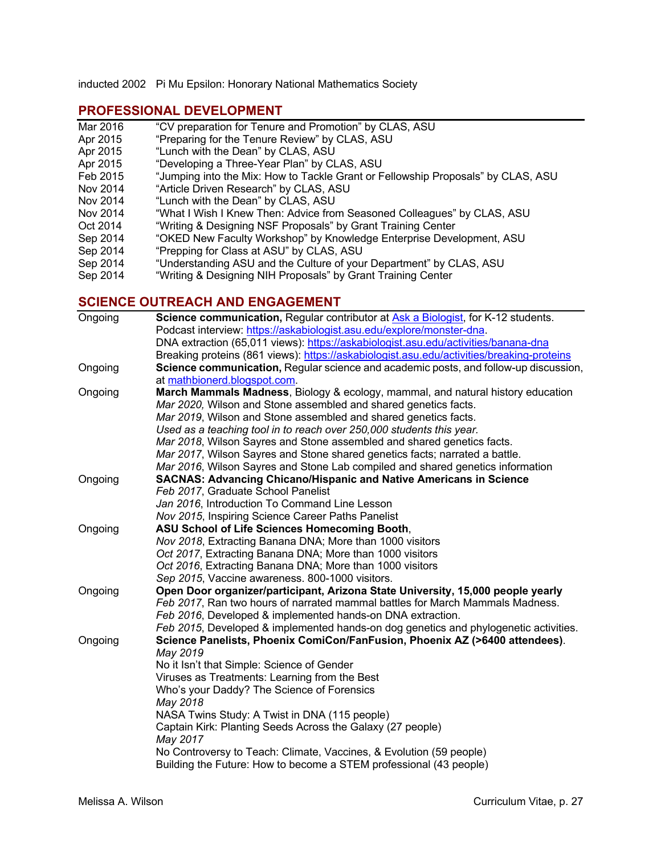inducted 2002 Pi Mu Epsilon: Honorary National Mathematics Society

# **PROFESSIONAL DEVELOPMENT**

- Mar 2016 "CV preparation for Tenure and Promotion" by CLAS, ASU
- Apr 2015 "Preparing for the Tenure Review" by CLAS, ASU
- Apr 2015 "Lunch with the Dean" by CLAS, ASU
- Apr 2015 "Developing a Three-Year Plan" by CLAS, ASU
- Feb 2015 "Jumping into the Mix: How to Tackle Grant or Fellowship Proposals" by CLAS, ASU
- Nov 2014 "Article Driven Research" by CLAS, ASU
- Nov 2014 "Lunch with the Dean" by CLAS, ASU
- Nov 2014 "What I Wish I Knew Then: Advice from Seasoned Colleagues" by CLAS, ASU<br>Oct 2014 "Writing & Designing NSF Proposals" by Grant Training Center
- "Writing & Designing NSF Proposals" by Grant Training Center
- Sep 2014 "OKED New Faculty Workshop" by Knowledge Enterprise Development, ASU
- Sep 2014 "Prepping for Class at ASU" by CLAS, ASU
- Sep 2014 "Understanding ASU and the Culture of your Department" by CLAS, ASU
- Sep 2014 "Writing & Designing NIH Proposals" by Grant Training Center

# **SCIENCE OUTREACH AND ENGAGEMENT**

| Ongoing | <b>Science communication, Regular contributor at Ask a Biologist, for K-12 students.</b>  |
|---------|-------------------------------------------------------------------------------------------|
|         | Podcast interview: https://askabiologist.asu.edu/explore/monster-dna.                     |
|         | DNA extraction (65,011 views): https://askabiologist.asu.edu/activities/banana-dna        |
|         | Breaking proteins (861 views): https://askabiologist.asu.edu/activities/breaking-proteins |
| Ongoing | Science communication, Regular science and academic posts, and follow-up discussion,      |
|         | at mathbionerd.blogspot.com.                                                              |
| Ongoing | March Mammals Madness, Biology & ecology, mammal, and natural history education           |
|         | Mar 2020, Wilson and Stone assembled and shared genetics facts.                           |
|         | Mar 2019, Wilson and Stone assembled and shared genetics facts.                           |
|         | Used as a teaching tool in to reach over 250,000 students this year.                      |
|         | Mar 2018, Wilson Sayres and Stone assembled and shared genetics facts.                    |
|         | Mar 2017, Wilson Sayres and Stone shared genetics facts; narrated a battle.               |
|         | Mar 2016, Wilson Sayres and Stone Lab compiled and shared genetics information            |
| Ongoing | <b>SACNAS: Advancing Chicano/Hispanic and Native Americans in Science</b>                 |
|         | Feb 2017, Graduate School Panelist                                                        |
|         | Jan 2016, Introduction To Command Line Lesson                                             |
|         | Nov 2015, Inspiring Science Career Paths Panelist                                         |
| Ongoing | ASU School of Life Sciences Homecoming Booth,                                             |
|         | Nov 2018, Extracting Banana DNA; More than 1000 visitors                                  |
|         | Oct 2017, Extracting Banana DNA; More than 1000 visitors                                  |
|         | Oct 2016, Extracting Banana DNA; More than 1000 visitors                                  |
|         | Sep 2015, Vaccine awareness. 800-1000 visitors.                                           |
| Ongoing | Open Door organizer/participant, Arizona State University, 15,000 people yearly           |
|         | Feb 2017, Ran two hours of narrated mammal battles for March Mammals Madness.             |
|         | Feb 2016, Developed & implemented hands-on DNA extraction.                                |
|         | Feb 2015, Developed & implemented hands-on dog genetics and phylogenetic activities.      |
| Ongoing | Science Panelists, Phoenix ComiCon/FanFusion, Phoenix AZ (>6400 attendees).               |
|         | May 2019                                                                                  |
|         | No it Isn't that Simple: Science of Gender                                                |
|         | Viruses as Treatments: Learning from the Best                                             |
|         | Who's your Daddy? The Science of Forensics                                                |
|         | May 2018                                                                                  |
|         | NASA Twins Study: A Twist in DNA (115 people)                                             |
|         | Captain Kirk: Planting Seeds Across the Galaxy (27 people)                                |
|         | May 2017                                                                                  |
|         | No Controversy to Teach: Climate, Vaccines, & Evolution (59 people)                       |
|         | Building the Future: How to become a STEM professional (43 people)                        |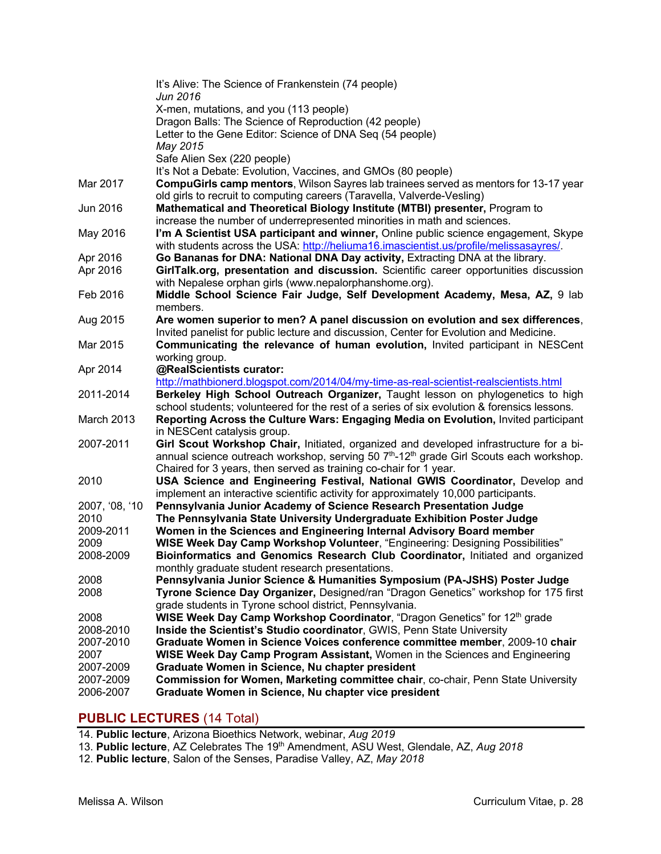|                        | It's Alive: The Science of Frankenstein (74 people)                                                                                                                      |
|------------------------|--------------------------------------------------------------------------------------------------------------------------------------------------------------------------|
|                        | Jun 2016                                                                                                                                                                 |
|                        | X-men, mutations, and you (113 people)<br>Dragon Balls: The Science of Reproduction (42 people)                                                                          |
|                        | Letter to the Gene Editor: Science of DNA Seq (54 people)                                                                                                                |
|                        | May 2015                                                                                                                                                                 |
|                        | Safe Alien Sex (220 people)                                                                                                                                              |
|                        | It's Not a Debate: Evolution, Vaccines, and GMOs (80 people)                                                                                                             |
| Mar 2017               | <b>CompuGirls camp mentors, Wilson Sayres lab trainees served as mentors for 13-17 year</b>                                                                              |
|                        | old girls to recruit to computing careers (Taravella, Valverde-Vesling)                                                                                                  |
| Jun 2016               | Mathematical and Theoretical Biology Institute (MTBI) presenter, Program to                                                                                              |
|                        | increase the number of underrepresented minorities in math and sciences.                                                                                                 |
| May 2016               | I'm A Scientist USA participant and winner, Online public science engagement, Skype                                                                                      |
|                        | with students across the USA: http://heliuma16.imascientist.us/profile/melissasayres/.                                                                                   |
| Apr 2016               | Go Bananas for DNA: National DNA Day activity, Extracting DNA at the library.                                                                                            |
| Apr 2016               | GirlTalk.org, presentation and discussion. Scientific career opportunities discussion                                                                                    |
| Feb 2016               | with Nepalese orphan girls (www.nepalorphanshome.org).<br>Middle School Science Fair Judge, Self Development Academy, Mesa, AZ, 9 lab                                    |
|                        | members.                                                                                                                                                                 |
| Aug 2015               | Are women superior to men? A panel discussion on evolution and sex differences,                                                                                          |
|                        | Invited panelist for public lecture and discussion, Center for Evolution and Medicine.                                                                                   |
| Mar 2015               | Communicating the relevance of human evolution, Invited participant in NESCent                                                                                           |
|                        | working group.                                                                                                                                                           |
| Apr 2014               | @RealScientists curator:                                                                                                                                                 |
| 2011-2014              | http://mathbionerd.blogspot.com/2014/04/my-time-as-real-scientist-realscientists.html<br>Berkeley High School Outreach Organizer, Taught lesson on phylogenetics to high |
|                        | school students; volunteered for the rest of a series of six evolution & forensics lessons.                                                                              |
| March 2013             | Reporting Across the Culture Wars: Engaging Media on Evolution, Invited participant                                                                                      |
|                        | in NESCent catalysis group.                                                                                                                                              |
| 2007-2011              | Girl Scout Workshop Chair, Initiated, organized and developed infrastructure for a bi-                                                                                   |
|                        | annual science outreach workshop, serving 50 7 <sup>th</sup> -12 <sup>th</sup> grade Girl Scouts each workshop.                                                          |
|                        | Chaired for 3 years, then served as training co-chair for 1 year.                                                                                                        |
| 2010                   | USA Science and Engineering Festival, National GWIS Coordinator, Develop and                                                                                             |
|                        | implement an interactive scientific activity for approximately 10,000 participants.                                                                                      |
| 2007, '08, '10         | Pennsylvania Junior Academy of Science Research Presentation Judge                                                                                                       |
| 2010                   | The Pennsylvania State University Undergraduate Exhibition Poster Judge                                                                                                  |
| 2009-2011<br>2009      | Women in the Sciences and Engineering Internal Advisory Board member<br>WISE Week Day Camp Workshop Volunteer, "Engineering: Designing Possibilities"                    |
| 2008-2009              | Bioinformatics and Genomics Research Club Coordinator, Initiated and organized                                                                                           |
|                        | monthly graduate student research presentations.                                                                                                                         |
| 2008                   | Pennsylvania Junior Science & Humanities Symposium (PA-JSHS) Poster Judge                                                                                                |
| 2008                   | Tyrone Science Day Organizer, Designed/ran "Dragon Genetics" workshop for 175 first                                                                                      |
|                        | grade students in Tyrone school district, Pennsylvania.                                                                                                                  |
| 2008                   | WISE Week Day Camp Workshop Coordinator, "Dragon Genetics" for 12 <sup>th</sup> grade                                                                                    |
| 2008-2010              | Inside the Scientist's Studio coordinator, GWIS, Penn State University                                                                                                   |
| 2007-2010              | Graduate Women in Science Voices conference committee member, 2009-10 chair                                                                                              |
| 2007                   | WISE Week Day Camp Program Assistant, Women in the Sciences and Engineering                                                                                              |
| 2007-2009              | Graduate Women in Science, Nu chapter president                                                                                                                          |
| 2007-2009<br>2006-2007 | Commission for Women, Marketing committee chair, co-chair, Penn State University                                                                                         |
|                        | Graduate Women in Science, Nu chapter vice president                                                                                                                     |

# **PUBLIC LECTURES** (14 Total)

14. **Public lecture**, Arizona Bioethics Network, webinar, *Aug 2019*

- 13. **Public lecture**, AZ Celebrates The 19th Amendment, ASU West, Glendale, AZ, *Aug 2018*
- 12. **Public lecture**, Salon of the Senses, Paradise Valley, AZ, *May 2018*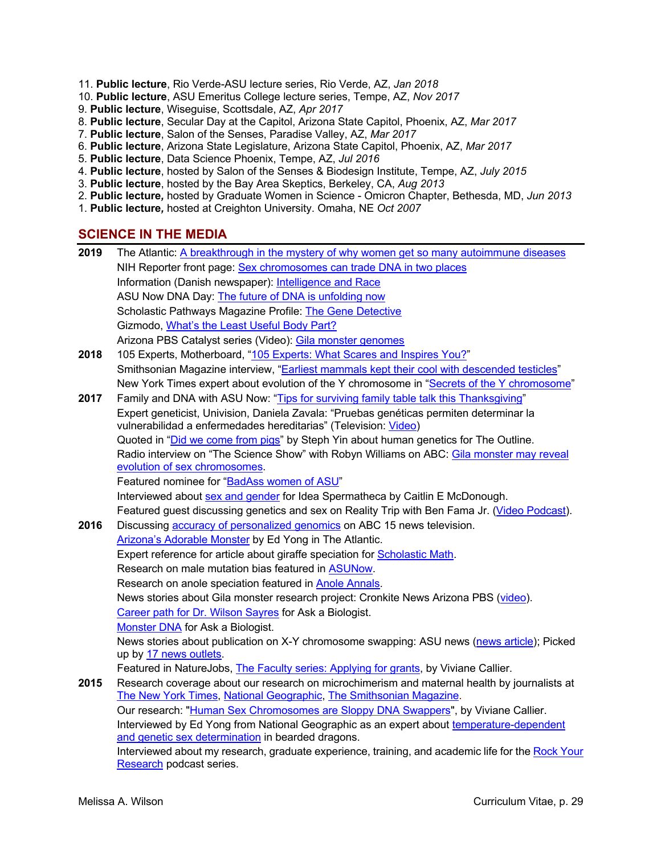- 11. **Public lecture**, Rio Verde-ASU lecture series, Rio Verde, AZ, *Jan 2018*
- 10. **Public lecture**, ASU Emeritus College lecture series, Tempe, AZ, *Nov 2017*
- 9. **Public lecture**, Wiseguise, Scottsdale, AZ, *Apr 2017*
- 8. **Public lecture**, Secular Day at the Capitol, Arizona State Capitol, Phoenix, AZ, *Mar 2017*
- 7. **Public lecture**, Salon of the Senses, Paradise Valley, AZ, *Mar 2017*
- 6. **Public lecture**, Arizona State Legislature, Arizona State Capitol, Phoenix, AZ, *Mar 2017*
- 5. **Public lecture**, Data Science Phoenix, Tempe, AZ, *Jul 2016*
- 4. **Public lecture**, hosted by Salon of the Senses & Biodesign Institute, Tempe, AZ, *July 2015*
- 3. **Public lecture**, hosted by the Bay Area Skeptics, Berkeley, CA, *Aug 2013*
- 2. **Public lecture***,* hosted by Graduate Women in Science Omicron Chapter, Bethesda, MD, *Jun 2013*
- 1. **Public lecture***,* hosted at Creighton University. Omaha, NE *Oct 2007*

### **SCIENCE IN THE MEDIA**

| 2019 | The Atlantic: A breakthrough in the mystery of why women get so many autoimmune diseases                                                                           |
|------|--------------------------------------------------------------------------------------------------------------------------------------------------------------------|
|      | NIH Reporter front page: Sex chromosomes can trade DNA in two places                                                                                               |
|      | Information (Danish newspaper): Intelligence and Race                                                                                                              |
|      | ASU Now DNA Day: The future of DNA is unfolding now                                                                                                                |
|      | Scholastic Pathways Magazine Profile: The Gene Detective                                                                                                           |
|      | Gizmodo, What's the Least Useful Body Part?                                                                                                                        |
|      | Arizona PBS Catalyst series (Video): Gila monster genomes                                                                                                          |
| 2018 | 105 Experts, Motherboard, "105 Experts: What Scares and Inspires You?"                                                                                             |
|      | Smithsonian Magazine interview, "Earliest mammals kept their cool with descended testicles"                                                                        |
|      | New York Times expert about evolution of the Y chromosome in "Secrets of the Y chromosome"                                                                         |
| 2017 | Family and DNA with ASU Now: "Tips for surviving family table talk this Thanksgiving"                                                                              |
|      | Expert geneticist, Univision, Daniela Zavala: "Pruebas genéticas permiten determinar la<br>vulnerabilidad a enfermedades hereditarias" (Television: Video)         |
|      | Quoted in "Did we come from pigs" by Steph Yin about human genetics for The Outline.                                                                               |
|      | Radio interview on "The Science Show" with Robyn Williams on ABC: Gila monster may reveal                                                                          |
|      | evolution of sex chromosomes.                                                                                                                                      |
|      | Featured nominee for "BadAss women of ASU"                                                                                                                         |
|      | Interviewed about sex and gender for Idea Spermatheca by Caitlin E McDonough.                                                                                      |
|      | Featured guest discussing genetics and sex on Reality Trip with Ben Fama Jr. (Video Podcast).                                                                      |
| 2016 | Discussing accuracy of personalized genomics on ABC 15 news television.                                                                                            |
|      | Arizona's Adorable Monster by Ed Yong in The Atlantic.                                                                                                             |
|      | Expert reference for article about giraffe speciation for <b>Scholastic Math</b> .                                                                                 |
|      | Research on male mutation bias featured in ASUNow.                                                                                                                 |
|      | Research on anole speciation featured in Anole Annals.                                                                                                             |
|      | News stories about Gila monster research project: Cronkite News Arizona PBS (video).                                                                               |
|      | Career path for Dr. Wilson Sayres for Ask a Biologist.                                                                                                             |
|      | Monster DNA for Ask a Biologist.                                                                                                                                   |
|      | News stories about publication on X-Y chromosome swapping: ASU news (news article); Picked<br>up by 17 news outlets.                                               |
|      | Featured in NatureJobs, The Faculty series: Applying for grants, by Viviane Callier.                                                                               |
| 2015 | Research coverage about our research on microchimerism and maternal health by journalists at<br>The New York Times, National Geographic, The Smithsonian Magazine. |
|      | Our research: "Human Sex Chromosomes are Sloppy DNA Swappers", by Viviane Callier.                                                                                 |
|      | Interviewed by Ed Yong from National Geographic as an expert about temperature-dependent<br>and genetic sex determination in bearded dragons.                      |
|      | Interviewed about my research, graduate experience, training, and academic life for the Rock Your                                                                  |

Research podcast series.